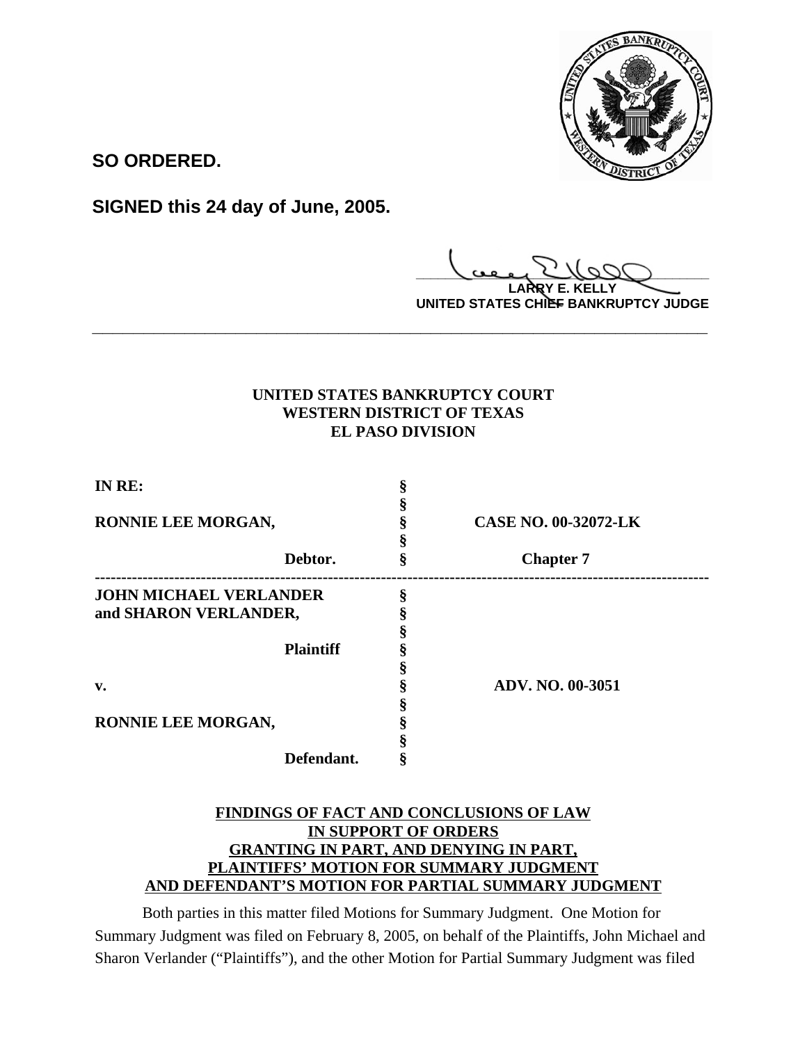

**SO ORDERED.**

**SIGNED this 24 day of June, 2005.**

**\_\_\_\_\_\_\_\_\_\_\_\_\_\_\_\_\_\_\_\_\_\_\_\_\_\_\_\_\_\_\_\_\_\_\_\_\_\_\_\_**

**LARRY E. KELLY UNITED STATES CHIEF BANKRUPTCY JUDGE**

# **UNITED STATES BANKRUPTCY COURT WESTERN DISTRICT OF TEXAS EL PASO DIVISION**

**\_\_\_\_\_\_\_\_\_\_\_\_\_\_\_\_\_\_\_\_\_\_\_\_\_\_\_\_\_\_\_\_\_\_\_\_\_\_\_\_\_\_\_\_\_\_\_\_\_\_\_\_\_\_\_\_\_\_\_\_**

| IN RE:                        |                             |
|-------------------------------|-----------------------------|
|                               |                             |
| RONNIE LEE MORGAN,            | <b>CASE NO. 00-32072-LK</b> |
|                               |                             |
| Debtor.                       | <b>Chapter 7</b>            |
| <b>JOHN MICHAEL VERLANDER</b> |                             |
| and SHARON VERLANDER,         |                             |
|                               |                             |
| <b>Plaintiff</b>              |                             |
|                               |                             |
| v.                            | ADV. NO. 00-3051            |
|                               |                             |
| RONNIE LEE MORGAN,            |                             |
|                               |                             |
| Defendant.                    |                             |

## **FINDINGS OF FACT AND CONCLUSIONS OF LAW IN SUPPORT OF ORDERS GRANTING IN PART, AND DENYING IN PART, PLAINTIFFS' MOTION FOR SUMMARY JUDGMENT AND DEFENDANT'S MOTION FOR PARTIAL SUMMARY JUDGMENT**

Both parties in this matter filed Motions for Summary Judgment. One Motion for Summary Judgment was filed on February 8, 2005, on behalf of the Plaintiffs, John Michael and Sharon Verlander ("Plaintiffs"), and the other Motion for Partial Summary Judgment was filed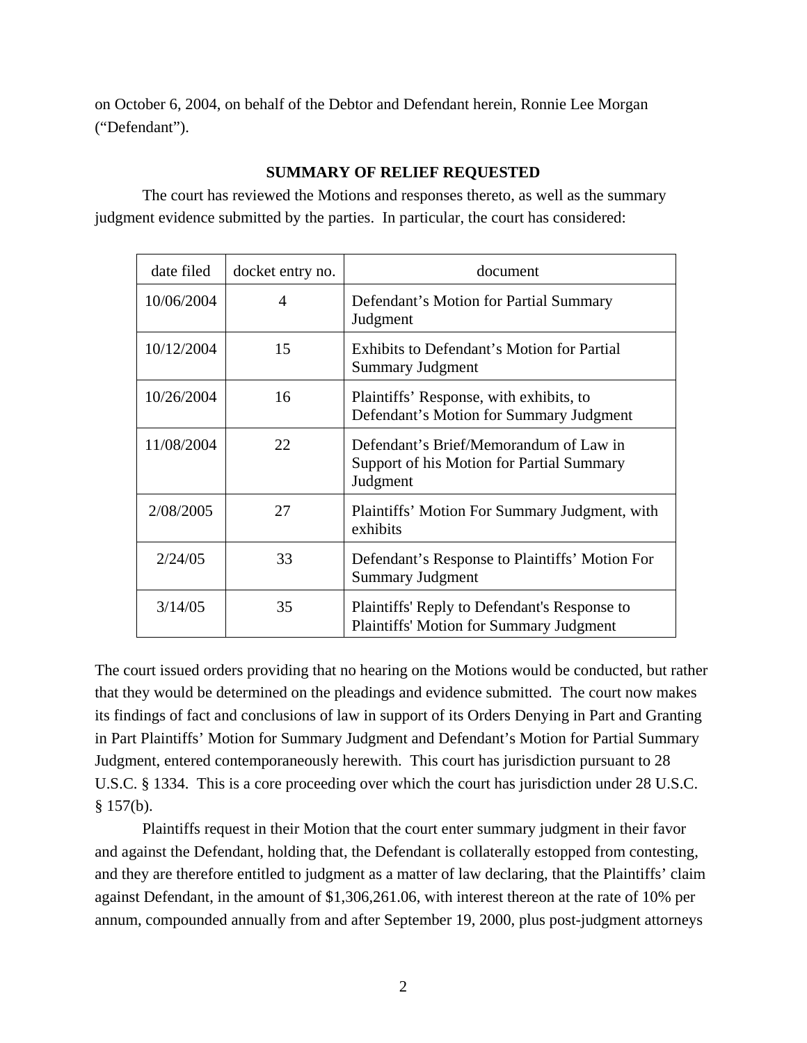on October 6, 2004, on behalf of the Debtor and Defendant herein, Ronnie Lee Morgan ("Defendant").

### **SUMMARY OF RELIEF REQUESTED**

The court has reviewed the Motions and responses thereto, as well as the summary judgment evidence submitted by the parties. In particular, the court has considered:

| date filed | docket entry no. | document                                                                                        |
|------------|------------------|-------------------------------------------------------------------------------------------------|
| 10/06/2004 | 4                | Defendant's Motion for Partial Summary<br>Judgment                                              |
| 10/12/2004 | 15               | Exhibits to Defendant's Motion for Partial<br>Summary Judgment                                  |
| 10/26/2004 | 16               | Plaintiffs' Response, with exhibits, to<br>Defendant's Motion for Summary Judgment              |
| 11/08/2004 | 22               | Defendant's Brief/Memorandum of Law in<br>Support of his Motion for Partial Summary<br>Judgment |
| 2/08/2005  | 27               | Plaintiffs' Motion For Summary Judgment, with<br>exhibits                                       |
| 2/24/05    | 33               | Defendant's Response to Plaintiffs' Motion For<br><b>Summary Judgment</b>                       |
| 3/14/05    | 35               | Plaintiffs' Reply to Defendant's Response to<br><b>Plaintiffs' Motion for Summary Judgment</b>  |

The court issued orders providing that no hearing on the Motions would be conducted, but rather that they would be determined on the pleadings and evidence submitted. The court now makes its findings of fact and conclusions of law in support of its Orders Denying in Part and Granting in Part Plaintiffs' Motion for Summary Judgment and Defendant's Motion for Partial Summary Judgment, entered contemporaneously herewith. This court has jurisdiction pursuant to 28 U.S.C. § 1334. This is a core proceeding over which the court has jurisdiction under 28 U.S.C.  $§ 157(b).$ 

Plaintiffs request in their Motion that the court enter summary judgment in their favor and against the Defendant, holding that, the Defendant is collaterally estopped from contesting, and they are therefore entitled to judgment as a matter of law declaring, that the Plaintiffs' claim against Defendant, in the amount of \$1,306,261.06, with interest thereon at the rate of 10% per annum, compounded annually from and after September 19, 2000, plus post-judgment attorneys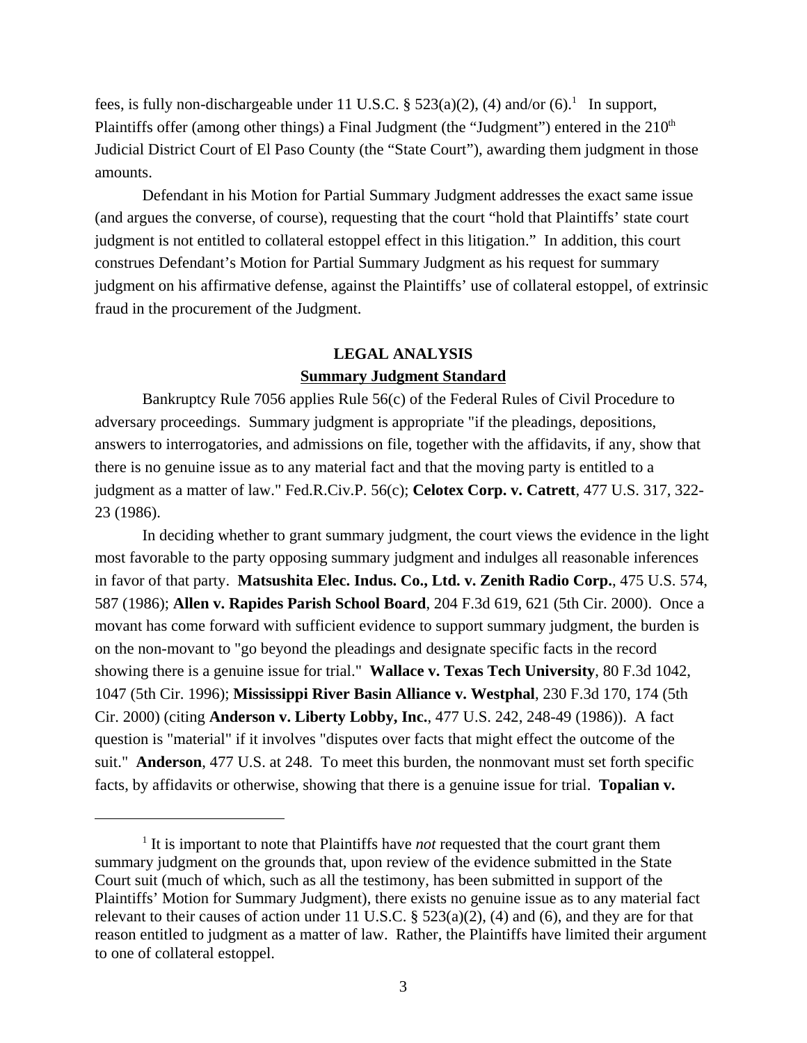fees, is fully non-dischargeable under 11 U.S.C.  $\S$  523(a)(2), (4) and/or (6).<sup>1</sup> In support, Plaintiffs offer (among other things) a Final Judgment (the "Judgment") entered in the  $210<sup>th</sup>$ Judicial District Court of El Paso County (the "State Court"), awarding them judgment in those amounts.

Defendant in his Motion for Partial Summary Judgment addresses the exact same issue (and argues the converse, of course), requesting that the court "hold that Plaintiffs' state court judgment is not entitled to collateral estoppel effect in this litigation." In addition, this court construes Defendant's Motion for Partial Summary Judgment as his request for summary judgment on his affirmative defense, against the Plaintiffs' use of collateral estoppel, of extrinsic fraud in the procurement of the Judgment.

# **LEGAL ANALYSIS Summary Judgment Standard**

Bankruptcy Rule 7056 applies Rule 56(c) of the Federal Rules of Civil Procedure to adversary proceedings. Summary judgment is appropriate "if the pleadings, depositions, answers to interrogatories, and admissions on file, together with the affidavits, if any, show that there is no genuine issue as to any material fact and that the moving party is entitled to a judgment as a matter of law." Fed.R.Civ.P. 56(c); **Celotex Corp. v. Catrett**, 477 U.S. 317, 322- 23 (1986).

In deciding whether to grant summary judgment, the court views the evidence in the light most favorable to the party opposing summary judgment and indulges all reasonable inferences in favor of that party. **Matsushita Elec. Indus. Co., Ltd. v. Zenith Radio Corp.**, 475 U.S. 574, 587 (1986); **Allen v. Rapides Parish School Board**, 204 F.3d 619, 621 (5th Cir. 2000). Once a movant has come forward with sufficient evidence to support summary judgment, the burden is on the non-movant to "go beyond the pleadings and designate specific facts in the record showing there is a genuine issue for trial." **Wallace v. Texas Tech University**, 80 F.3d 1042, 1047 (5th Cir. 1996); **Mississippi River Basin Alliance v. Westphal**, 230 F.3d 170, 174 (5th Cir. 2000) (citing **Anderson v. Liberty Lobby, Inc.**, 477 U.S. 242, 248-49 (1986)). A fact question is "material" if it involves "disputes over facts that might effect the outcome of the suit." **Anderson**, 477 U.S. at 248. To meet this burden, the nonmovant must set forth specific facts, by affidavits or otherwise, showing that there is a genuine issue for trial. **Topalian v.**

<sup>&</sup>lt;sup>1</sup> It is important to note that Plaintiffs have *not* requested that the court grant them summary judgment on the grounds that, upon review of the evidence submitted in the State Court suit (much of which, such as all the testimony, has been submitted in support of the Plaintiffs' Motion for Summary Judgment), there exists no genuine issue as to any material fact relevant to their causes of action under 11 U.S.C. § 523(a)(2), (4) and (6), and they are for that reason entitled to judgment as a matter of law. Rather, the Plaintiffs have limited their argument to one of collateral estoppel.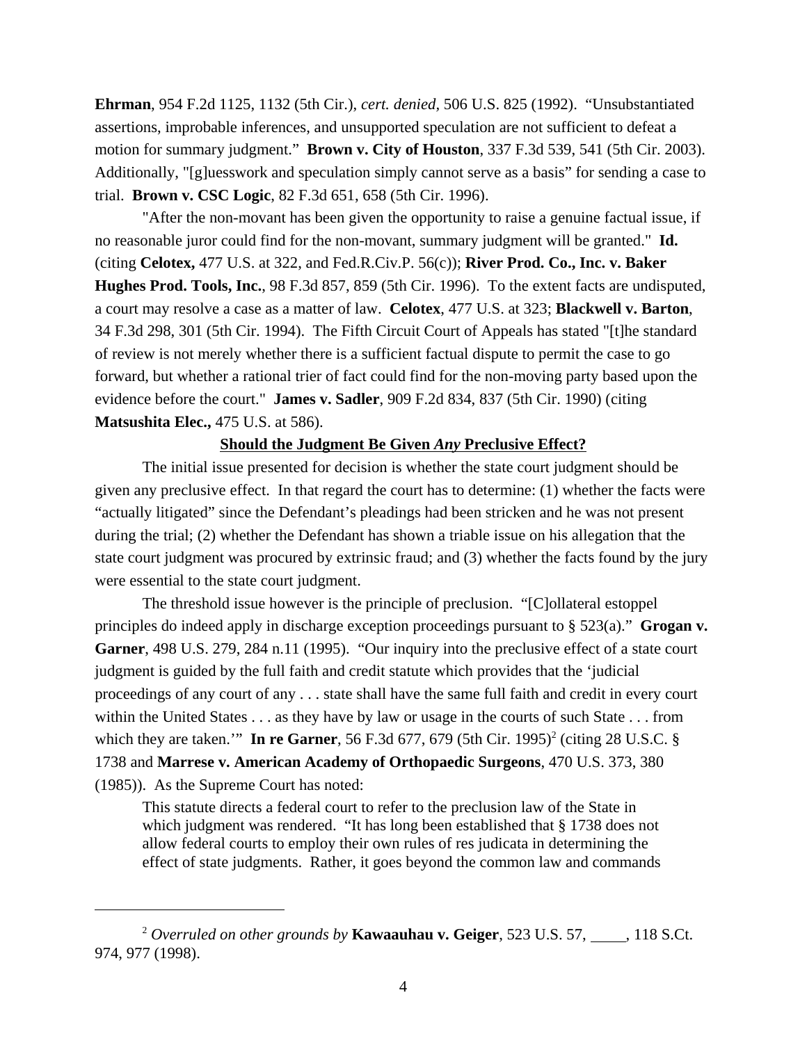**Ehrman**, 954 F.2d 1125, 1132 (5th Cir.), *cert. denied,* 506 U.S. 825 (1992). "Unsubstantiated assertions, improbable inferences, and unsupported speculation are not sufficient to defeat a motion for summary judgment." **Brown v. City of Houston**, 337 F.3d 539, 541 (5th Cir. 2003). Additionally, "[g]uesswork and speculation simply cannot serve as a basis" for sending a case to trial. **Brown v. CSC Logic**, 82 F.3d 651, 658 (5th Cir. 1996).

"After the non-movant has been given the opportunity to raise a genuine factual issue, if no reasonable juror could find for the non-movant, summary judgment will be granted." **Id.** (citing **Celotex,** 477 U.S. at 322, and Fed.R.Civ.P. 56(c)); **River Prod. Co., Inc. v. Baker Hughes Prod. Tools, Inc.**, 98 F.3d 857, 859 (5th Cir. 1996). To the extent facts are undisputed, a court may resolve a case as a matter of law. **Celotex**, 477 U.S. at 323; **Blackwell v. Barton**, 34 F.3d 298, 301 (5th Cir. 1994). The Fifth Circuit Court of Appeals has stated "[t]he standard of review is not merely whether there is a sufficient factual dispute to permit the case to go forward, but whether a rational trier of fact could find for the non-moving party based upon the evidence before the court." **James v. Sadler**, 909 F.2d 834, 837 (5th Cir. 1990) (citing **Matsushita Elec.,** 475 U.S. at 586).

#### **Should the Judgment Be Given** *Any* **Preclusive Effect?**

The initial issue presented for decision is whether the state court judgment should be given any preclusive effect. In that regard the court has to determine: (1) whether the facts were "actually litigated" since the Defendant's pleadings had been stricken and he was not present during the trial; (2) whether the Defendant has shown a triable issue on his allegation that the state court judgment was procured by extrinsic fraud; and (3) whether the facts found by the jury were essential to the state court judgment.

The threshold issue however is the principle of preclusion. "[C]ollateral estoppel principles do indeed apply in discharge exception proceedings pursuant to § 523(a)." **Grogan v. Garner**, 498 U.S. 279, 284 n.11 (1995). "Our inquiry into the preclusive effect of a state court judgment is guided by the full faith and credit statute which provides that the 'judicial proceedings of any court of any . . . state shall have the same full faith and credit in every court within the United States . . . as they have by law or usage in the courts of such State . . . from which they are taken." In re Garner, 56 F.3d 677, 679 (5th Cir. 1995)<sup>2</sup> (citing 28 U.S.C. § 1738 and **Marrese v. American Academy of Orthopaedic Surgeons**, 470 U.S. 373, 380 (1985)). As the Supreme Court has noted:

This statute directs a federal court to refer to the preclusion law of the State in which judgment was rendered. "It has long been established that § 1738 does not allow federal courts to employ their own rules of res judicata in determining the effect of state judgments. Rather, it goes beyond the common law and commands

<sup>&</sup>lt;sup>2</sup> Overruled on other grounds by **Kawaauhau v. Geiger**, 523 U.S. 57, , 118 S.Ct. 974, 977 (1998).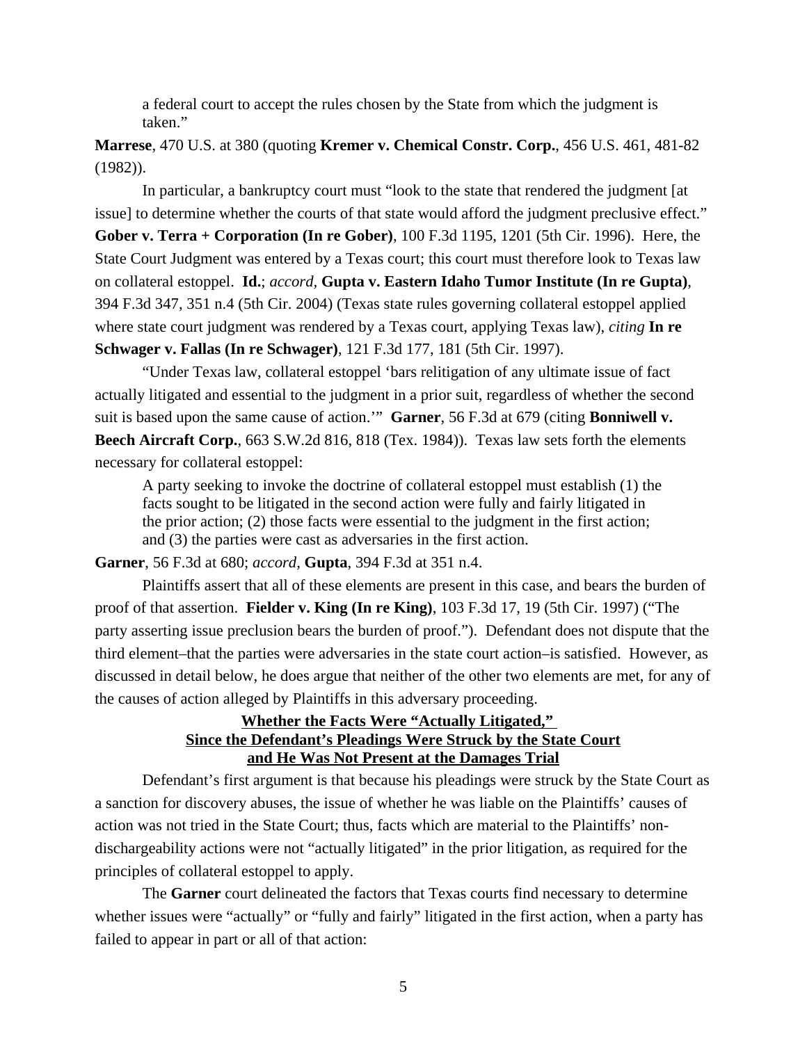a federal court to accept the rules chosen by the State from which the judgment is taken."

**Marrese**, 470 U.S. at 380 (quoting **Kremer v. Chemical Constr. Corp.**, 456 U.S. 461, 481-82 (1982)).

In particular, a bankruptcy court must "look to the state that rendered the judgment [at issue] to determine whether the courts of that state would afford the judgment preclusive effect." **Gober v. Terra + Corporation (In re Gober)**, 100 F.3d 1195, 1201 (5th Cir. 1996). Here, the State Court Judgment was entered by a Texas court; this court must therefore look to Texas law on collateral estoppel. **Id.**; *accord,* **Gupta v. Eastern Idaho Tumor Institute (In re Gupta)**, 394 F.3d 347, 351 n.4 (5th Cir. 2004) (Texas state rules governing collateral estoppel applied where state court judgment was rendered by a Texas court, applying Texas law), *citing* **In re Schwager v. Fallas (In re Schwager)**, 121 F.3d 177, 181 (5th Cir. 1997).

"Under Texas law, collateral estoppel 'bars relitigation of any ultimate issue of fact actually litigated and essential to the judgment in a prior suit, regardless of whether the second suit is based upon the same cause of action.'" **Garner**, 56 F.3d at 679 (citing **Bonniwell v. Beech Aircraft Corp.**, 663 S.W.2d 816, 818 (Tex. 1984)). Texas law sets forth the elements necessary for collateral estoppel:

A party seeking to invoke the doctrine of collateral estoppel must establish (1) the facts sought to be litigated in the second action were fully and fairly litigated in the prior action; (2) those facts were essential to the judgment in the first action; and (3) the parties were cast as adversaries in the first action.

**Garner**, 56 F.3d at 680; *accord,* **Gupta**, 394 F.3d at 351 n.4.

Plaintiffs assert that all of these elements are present in this case, and bears the burden of proof of that assertion. **Fielder v. King (In re King)**, 103 F.3d 17, 19 (5th Cir. 1997) ("The party asserting issue preclusion bears the burden of proof."). Defendant does not dispute that the third element–that the parties were adversaries in the state court action–is satisfied. However, as discussed in detail below, he does argue that neither of the other two elements are met, for any of the causes of action alleged by Plaintiffs in this adversary proceeding.

## **Whether the Facts Were "Actually Litigated," Since the Defendant's Pleadings Were Struck by the State Court and He Was Not Present at the Damages Trial**

Defendant's first argument is that because his pleadings were struck by the State Court as a sanction for discovery abuses, the issue of whether he was liable on the Plaintiffs' causes of action was not tried in the State Court; thus, facts which are material to the Plaintiffs' nondischargeability actions were not "actually litigated" in the prior litigation, as required for the principles of collateral estoppel to apply.

The **Garner** court delineated the factors that Texas courts find necessary to determine whether issues were "actually" or "fully and fairly" litigated in the first action, when a party has failed to appear in part or all of that action: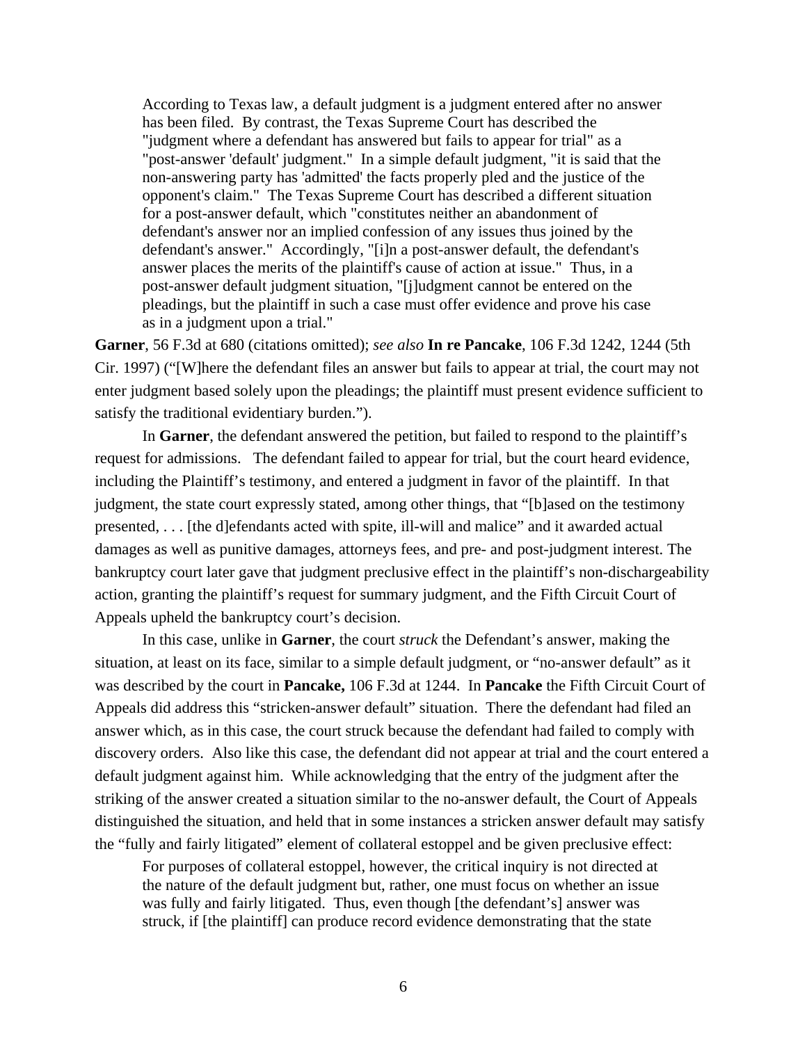According to Texas law, a default judgment is a judgment entered after no answer has been filed. By contrast, the Texas Supreme Court has described the "judgment where a defendant has answered but fails to appear for trial" as a "post-answer 'default' judgment." In a simple default judgment, "it is said that the non-answering party has 'admitted' the facts properly pled and the justice of the opponent's claim." The Texas Supreme Court has described a different situation for a post-answer default, which "constitutes neither an abandonment of defendant's answer nor an implied confession of any issues thus joined by the defendant's answer." Accordingly, "[i]n a post-answer default, the defendant's answer places the merits of the plaintiff's cause of action at issue." Thus, in a post-answer default judgment situation, "[j]udgment cannot be entered on the pleadings, but the plaintiff in such a case must offer evidence and prove his case as in a judgment upon a trial."

**Garner**, 56 F.3d at 680 (citations omitted); *see also* **In re Pancake**, 106 F.3d 1242, 1244 (5th Cir. 1997) ("[W]here the defendant files an answer but fails to appear at trial, the court may not enter judgment based solely upon the pleadings; the plaintiff must present evidence sufficient to satisfy the traditional evidentiary burden.").

In **Garner**, the defendant answered the petition, but failed to respond to the plaintiff's request for admissions. The defendant failed to appear for trial, but the court heard evidence, including the Plaintiff's testimony, and entered a judgment in favor of the plaintiff. In that judgment, the state court expressly stated, among other things, that "[b]ased on the testimony presented, . . . [the d]efendants acted with spite, ill-will and malice" and it awarded actual damages as well as punitive damages, attorneys fees, and pre- and post-judgment interest. The bankruptcy court later gave that judgment preclusive effect in the plaintiff's non-dischargeability action, granting the plaintiff's request for summary judgment, and the Fifth Circuit Court of Appeals upheld the bankruptcy court's decision.

In this case, unlike in **Garner**, the court *struck* the Defendant's answer, making the situation, at least on its face, similar to a simple default judgment, or "no-answer default" as it was described by the court in **Pancake,** 106 F.3d at 1244. In **Pancake** the Fifth Circuit Court of Appeals did address this "stricken-answer default" situation. There the defendant had filed an answer which, as in this case, the court struck because the defendant had failed to comply with discovery orders. Also like this case, the defendant did not appear at trial and the court entered a default judgment against him. While acknowledging that the entry of the judgment after the striking of the answer created a situation similar to the no-answer default, the Court of Appeals distinguished the situation, and held that in some instances a stricken answer default may satisfy the "fully and fairly litigated" element of collateral estoppel and be given preclusive effect:

For purposes of collateral estoppel, however, the critical inquiry is not directed at the nature of the default judgment but, rather, one must focus on whether an issue was fully and fairly litigated. Thus, even though [the defendant's] answer was struck, if [the plaintiff] can produce record evidence demonstrating that the state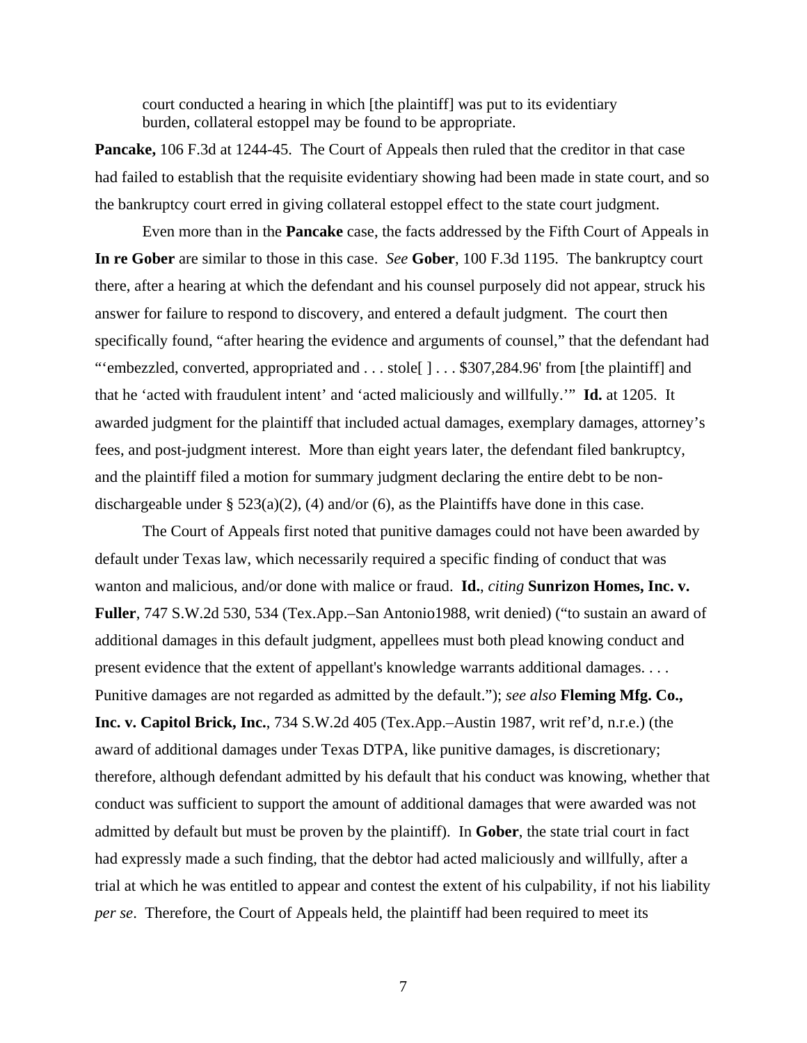court conducted a hearing in which [the plaintiff] was put to its evidentiary burden, collateral estoppel may be found to be appropriate.

**Pancake,** 106 F.3d at 1244-45. The Court of Appeals then ruled that the creditor in that case had failed to establish that the requisite evidentiary showing had been made in state court, and so the bankruptcy court erred in giving collateral estoppel effect to the state court judgment.

Even more than in the **Pancake** case, the facts addressed by the Fifth Court of Appeals in **In re Gober** are similar to those in this case. *See* **Gober**, 100 F.3d 1195. The bankruptcy court there, after a hearing at which the defendant and his counsel purposely did not appear, struck his answer for failure to respond to discovery, and entered a default judgment. The court then specifically found, "after hearing the evidence and arguments of counsel," that the defendant had "'embezzled, converted, appropriated and . . . stole[ ] . . . \$307,284.96' from [the plaintiff] and that he 'acted with fraudulent intent' and 'acted maliciously and willfully.'" **Id.** at 1205. It awarded judgment for the plaintiff that included actual damages, exemplary damages, attorney's fees, and post-judgment interest. More than eight years later, the defendant filed bankruptcy, and the plaintiff filed a motion for summary judgment declaring the entire debt to be nondischargeable under  $\S$  523(a)(2), (4) and/or (6), as the Plaintiffs have done in this case.

The Court of Appeals first noted that punitive damages could not have been awarded by default under Texas law, which necessarily required a specific finding of conduct that was wanton and malicious, and/or done with malice or fraud. **Id.**, *citing* **Sunrizon Homes, Inc. v. Fuller**, 747 S.W.2d 530, 534 (Tex.App.–San Antonio1988, writ denied) ("to sustain an award of additional damages in this default judgment, appellees must both plead knowing conduct and present evidence that the extent of appellant's knowledge warrants additional damages. . . . Punitive damages are not regarded as admitted by the default."); *see also* **Fleming Mfg. Co., Inc. v. Capitol Brick, Inc.**, 734 S.W.2d 405 (Tex.App.–Austin 1987, writ ref'd, n.r.e.) (the award of additional damages under Texas DTPA, like punitive damages, is discretionary; therefore, although defendant admitted by his default that his conduct was knowing, whether that conduct was sufficient to support the amount of additional damages that were awarded was not admitted by default but must be proven by the plaintiff). In **Gober**, the state trial court in fact had expressly made a such finding, that the debtor had acted maliciously and willfully, after a trial at which he was entitled to appear and contest the extent of his culpability, if not his liability *per se*. Therefore, the Court of Appeals held, the plaintiff had been required to meet its

7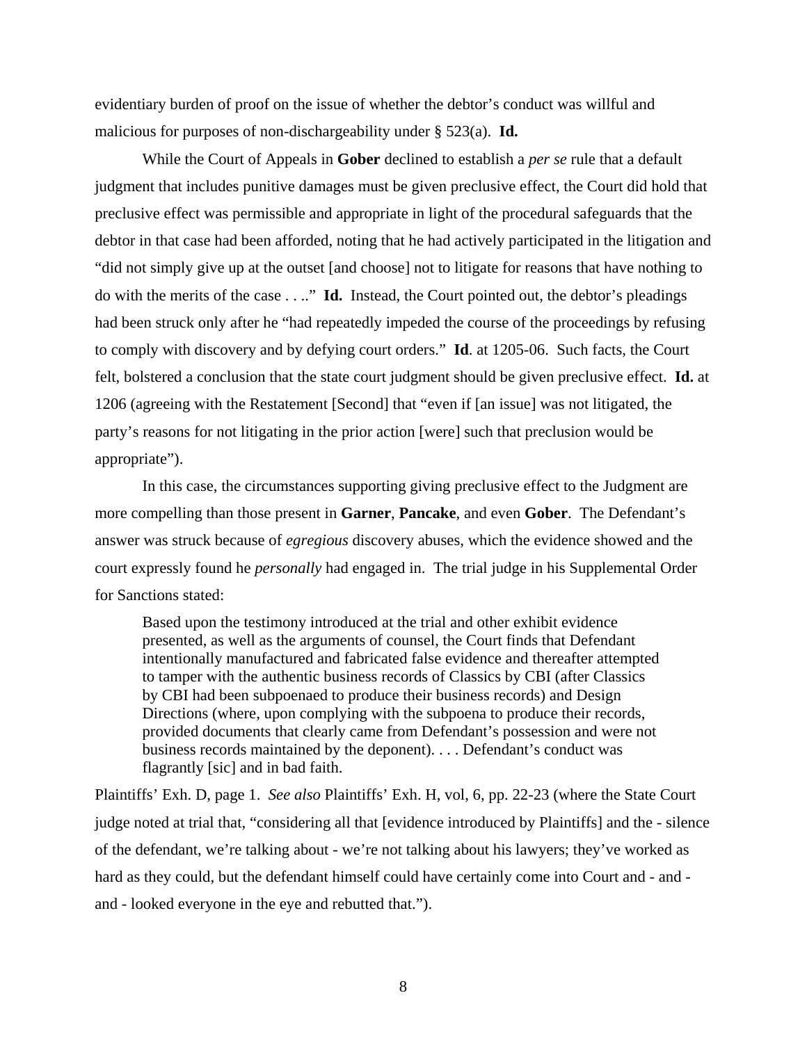evidentiary burden of proof on the issue of whether the debtor's conduct was willful and malicious for purposes of non-dischargeability under § 523(a). **Id.**

While the Court of Appeals in **Gober** declined to establish a *per se* rule that a default judgment that includes punitive damages must be given preclusive effect, the Court did hold that preclusive effect was permissible and appropriate in light of the procedural safeguards that the debtor in that case had been afforded, noting that he had actively participated in the litigation and "did not simply give up at the outset [and choose] not to litigate for reasons that have nothing to do with the merits of the case . . .." **Id.** Instead, the Court pointed out, the debtor's pleadings had been struck only after he "had repeatedly impeded the course of the proceedings by refusing to comply with discovery and by defying court orders." **Id**. at 1205-06. Such facts, the Court felt, bolstered a conclusion that the state court judgment should be given preclusive effect. **Id.** at 1206 (agreeing with the Restatement [Second] that "even if [an issue] was not litigated, the party's reasons for not litigating in the prior action [were] such that preclusion would be appropriate").

In this case, the circumstances supporting giving preclusive effect to the Judgment are more compelling than those present in **Garner**, **Pancake**, and even **Gober**. The Defendant's answer was struck because of *egregious* discovery abuses, which the evidence showed and the court expressly found he *personally* had engaged in. The trial judge in his Supplemental Order for Sanctions stated:

Based upon the testimony introduced at the trial and other exhibit evidence presented, as well as the arguments of counsel, the Court finds that Defendant intentionally manufactured and fabricated false evidence and thereafter attempted to tamper with the authentic business records of Classics by CBI (after Classics by CBI had been subpoenaed to produce their business records) and Design Directions (where, upon complying with the subpoena to produce their records, provided documents that clearly came from Defendant's possession and were not business records maintained by the deponent). . . . Defendant's conduct was flagrantly [sic] and in bad faith.

Plaintiffs' Exh. D, page 1. *See also* Plaintiffs' Exh. H, vol, 6, pp. 22-23 (where the State Court judge noted at trial that, "considering all that [evidence introduced by Plaintiffs] and the - silence of the defendant, we're talking about - we're not talking about his lawyers; they've worked as hard as they could, but the defendant himself could have certainly come into Court and - and and - looked everyone in the eye and rebutted that.").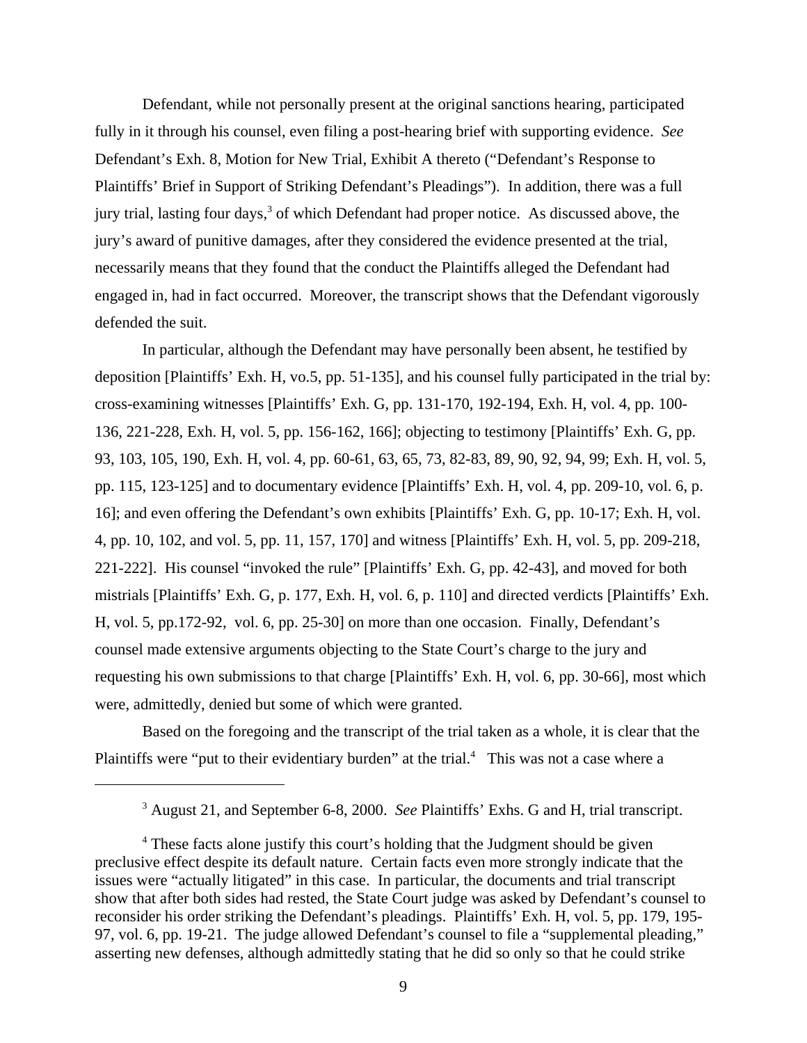Defendant, while not personally present at the original sanctions hearing, participated fully in it through his counsel, even filing a post-hearing brief with supporting evidence. *See* Defendant's Exh. 8, Motion for New Trial, Exhibit A thereto ("Defendant's Response to Plaintiffs' Brief in Support of Striking Defendant's Pleadings"). In addition, there was a full jury trial, lasting four days,<sup>3</sup> of which Defendant had proper notice. As discussed above, the jury's award of punitive damages, after they considered the evidence presented at the trial, necessarily means that they found that the conduct the Plaintiffs alleged the Defendant had engaged in, had in fact occurred. Moreover, the transcript shows that the Defendant vigorously defended the suit.

In particular, although the Defendant may have personally been absent, he testified by deposition [Plaintiffs' Exh. H, vo.5, pp. 51-135], and his counsel fully participated in the trial by: cross-examining witnesses [Plaintiffs' Exh. G, pp. 131-170, 192-194, Exh. H, vol. 4, pp. 100- 136, 221-228, Exh. H, vol. 5, pp. 156-162, 166]; objecting to testimony [Plaintiffs' Exh. G, pp. 93, 103, 105, 190, Exh. H, vol. 4, pp. 60-61, 63, 65, 73, 82-83, 89, 90, 92, 94, 99; Exh. H, vol. 5, pp. 115, 123-125] and to documentary evidence [Plaintiffs' Exh. H, vol. 4, pp. 209-10, vol. 6, p. 16]; and even offering the Defendant's own exhibits [Plaintiffs' Exh. G, pp. 10-17; Exh. H, vol. 4, pp. 10, 102, and vol. 5, pp. 11, 157, 170] and witness [Plaintiffs' Exh. H, vol. 5, pp. 209-218, 221-222]. His counsel "invoked the rule" [Plaintiffs' Exh. G, pp. 42-43], and moved for both mistrials [Plaintiffs' Exh. G, p. 177, Exh. H, vol. 6, p. 110] and directed verdicts [Plaintiffs' Exh. H, vol. 5, pp.172-92, vol. 6, pp. 25-30] on more than one occasion. Finally, Defendant's counsel made extensive arguments objecting to the State Court's charge to the jury and requesting his own submissions to that charge [Plaintiffs' Exh. H, vol. 6, pp. 30-66], most which were, admittedly, denied but some of which were granted.

Based on the foregoing and the transcript of the trial taken as a whole, it is clear that the Plaintiffs were "put to their evidentiary burden" at the trial.<sup>4</sup> This was not a case where a

<sup>&</sup>lt;sup>3</sup> August 21, and September 6-8, 2000. *See* Plaintiffs' Exhs. G and H, trial transcript.

<sup>&</sup>lt;sup>4</sup> These facts alone justify this court's holding that the Judgment should be given preclusive effect despite its default nature. Certain facts even more strongly indicate that the issues were "actually litigated" in this case. In particular, the documents and trial transcript show that after both sides had rested, the State Court judge was asked by Defendant's counsel to reconsider his order striking the Defendant's pleadings. Plaintiffs' Exh. H, vol. 5, pp. 179, 195- 97, vol. 6, pp. 19-21. The judge allowed Defendant's counsel to file a "supplemental pleading," asserting new defenses, although admittedly stating that he did so only so that he could strike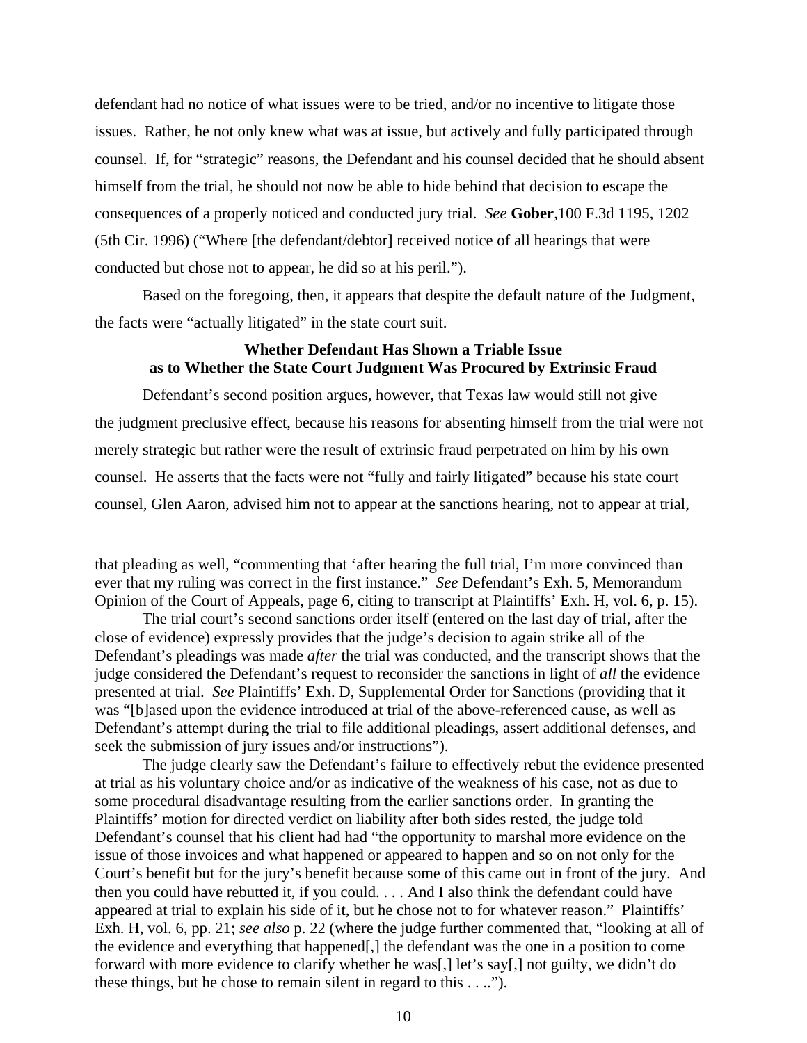defendant had no notice of what issues were to be tried, and/or no incentive to litigate those issues. Rather, he not only knew what was at issue, but actively and fully participated through counsel. If, for "strategic" reasons, the Defendant and his counsel decided that he should absent himself from the trial, he should not now be able to hide behind that decision to escape the consequences of a properly noticed and conducted jury trial. *See* **Gober**,100 F.3d 1195, 1202 (5th Cir. 1996) ("Where [the defendant/debtor] received notice of all hearings that were conducted but chose not to appear, he did so at his peril.").

Based on the foregoing, then, it appears that despite the default nature of the Judgment, the facts were "actually litigated" in the state court suit.

## **Whether Defendant Has Shown a Triable Issue as to Whether the State Court Judgment Was Procured by Extrinsic Fraud**

Defendant's second position argues, however, that Texas law would still not give the judgment preclusive effect, because his reasons for absenting himself from the trial were not merely strategic but rather were the result of extrinsic fraud perpetrated on him by his own counsel. He asserts that the facts were not "fully and fairly litigated" because his state court counsel, Glen Aaron, advised him not to appear at the sanctions hearing, not to appear at trial,

The judge clearly saw the Defendant's failure to effectively rebut the evidence presented at trial as his voluntary choice and/or as indicative of the weakness of his case, not as due to some procedural disadvantage resulting from the earlier sanctions order. In granting the Plaintiffs' motion for directed verdict on liability after both sides rested, the judge told Defendant's counsel that his client had had "the opportunity to marshal more evidence on the issue of those invoices and what happened or appeared to happen and so on not only for the Court's benefit but for the jury's benefit because some of this came out in front of the jury. And then you could have rebutted it, if you could. . . . And I also think the defendant could have appeared at trial to explain his side of it, but he chose not to for whatever reason." Plaintiffs' Exh. H, vol. 6, pp. 21; *see also* p. 22 (where the judge further commented that, "looking at all of the evidence and everything that happened[,] the defendant was the one in a position to come forward with more evidence to clarify whether he was[,] let's say[,] not guilty, we didn't do these things, but he chose to remain silent in regard to this . . ..").

that pleading as well, "commenting that 'after hearing the full trial, I'm more convinced than ever that my ruling was correct in the first instance." *See* Defendant's Exh. 5, Memorandum Opinion of the Court of Appeals, page 6, citing to transcript at Plaintiffs' Exh. H, vol. 6, p. 15).

The trial court's second sanctions order itself (entered on the last day of trial, after the close of evidence) expressly provides that the judge's decision to again strike all of the Defendant's pleadings was made *after* the trial was conducted, and the transcript shows that the judge considered the Defendant's request to reconsider the sanctions in light of *all* the evidence presented at trial. *See* Plaintiffs' Exh. D, Supplemental Order for Sanctions (providing that it was "[b]ased upon the evidence introduced at trial of the above-referenced cause, as well as Defendant's attempt during the trial to file additional pleadings, assert additional defenses, and seek the submission of jury issues and/or instructions").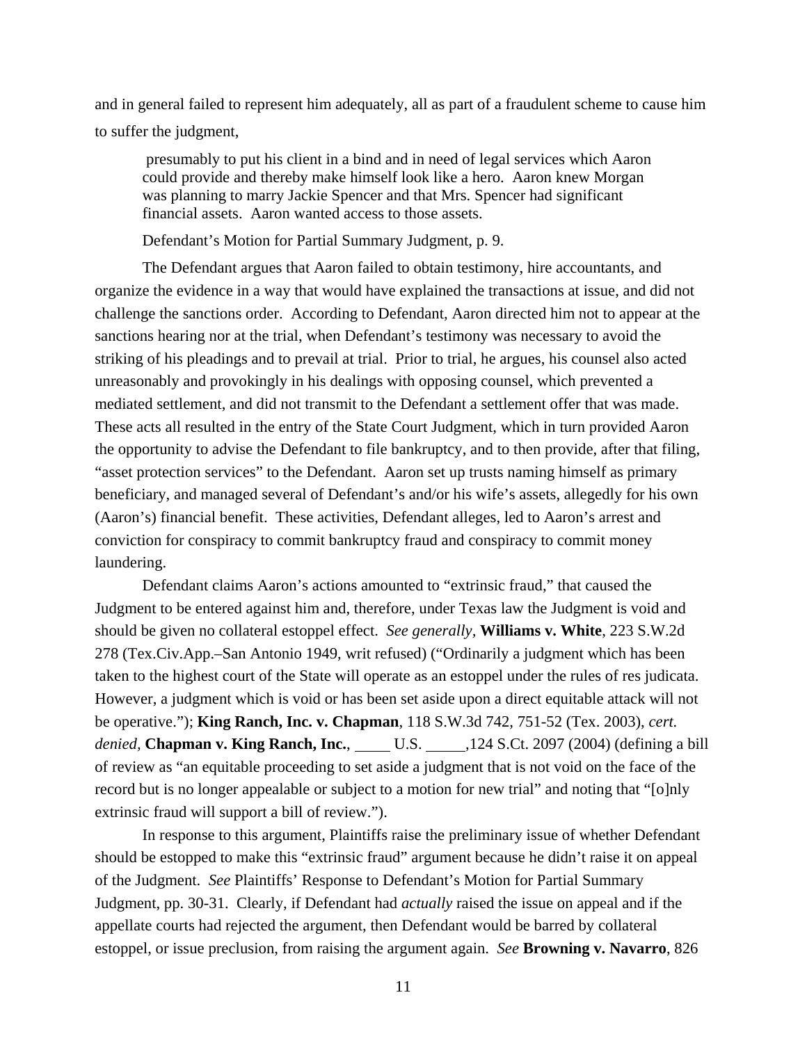and in general failed to represent him adequately, all as part of a fraudulent scheme to cause him to suffer the judgment,

 presumably to put his client in a bind and in need of legal services which Aaron could provide and thereby make himself look like a hero. Aaron knew Morgan was planning to marry Jackie Spencer and that Mrs. Spencer had significant financial assets. Aaron wanted access to those assets.

Defendant's Motion for Partial Summary Judgment, p. 9.

The Defendant argues that Aaron failed to obtain testimony, hire accountants, and organize the evidence in a way that would have explained the transactions at issue, and did not challenge the sanctions order. According to Defendant, Aaron directed him not to appear at the sanctions hearing nor at the trial, when Defendant's testimony was necessary to avoid the striking of his pleadings and to prevail at trial. Prior to trial, he argues, his counsel also acted unreasonably and provokingly in his dealings with opposing counsel, which prevented a mediated settlement, and did not transmit to the Defendant a settlement offer that was made. These acts all resulted in the entry of the State Court Judgment, which in turn provided Aaron the opportunity to advise the Defendant to file bankruptcy, and to then provide, after that filing, "asset protection services" to the Defendant. Aaron set up trusts naming himself as primary beneficiary, and managed several of Defendant's and/or his wife's assets, allegedly for his own (Aaron's) financial benefit. These activities, Defendant alleges, led to Aaron's arrest and conviction for conspiracy to commit bankruptcy fraud and conspiracy to commit money laundering.

Defendant claims Aaron's actions amounted to "extrinsic fraud," that caused the Judgment to be entered against him and, therefore, under Texas law the Judgment is void and should be given no collateral estoppel effect. *See generally,* **Williams v. White**, 223 S.W.2d 278 (Tex.Civ.App.–San Antonio 1949, writ refused) ("Ordinarily a judgment which has been taken to the highest court of the State will operate as an estoppel under the rules of res judicata. However, a judgment which is void or has been set aside upon a direct equitable attack will not be operative."); **King Ranch, Inc. v. Chapman**, 118 S.W.3d 742, 751-52 (Tex. 2003), *cert. denied*, **Chapman v. King Ranch, Inc.**, U.S. 124 S.Ct. 2097 (2004) (defining a bill of review as "an equitable proceeding to set aside a judgment that is not void on the face of the record but is no longer appealable or subject to a motion for new trial" and noting that "[o]nly extrinsic fraud will support a bill of review.").

In response to this argument, Plaintiffs raise the preliminary issue of whether Defendant should be estopped to make this "extrinsic fraud" argument because he didn't raise it on appeal of the Judgment. *See* Plaintiffs' Response to Defendant's Motion for Partial Summary Judgment, pp. 30-31. Clearly, if Defendant had *actually* raised the issue on appeal and if the appellate courts had rejected the argument, then Defendant would be barred by collateral estoppel, or issue preclusion, from raising the argument again. *See* **Browning v. Navarro**, 826

11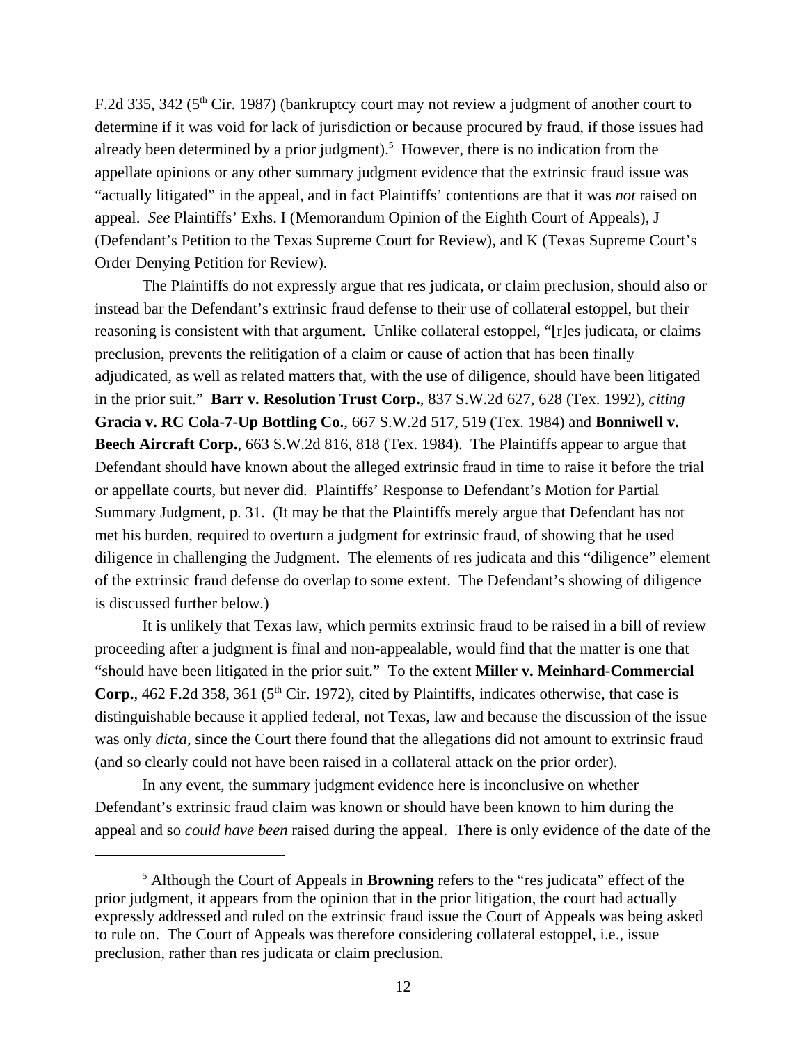F.2d 335, 342 ( $5<sup>th</sup>$  Cir. 1987) (bankruptcy court may not review a judgment of another court to determine if it was void for lack of jurisdiction or because procured by fraud, if those issues had already been determined by a prior judgment).<sup>5</sup> However, there is no indication from the appellate opinions or any other summary judgment evidence that the extrinsic fraud issue was "actually litigated" in the appeal, and in fact Plaintiffs' contentions are that it was *not* raised on appeal. *See* Plaintiffs' Exhs. I (Memorandum Opinion of the Eighth Court of Appeals), J (Defendant's Petition to the Texas Supreme Court for Review), and K (Texas Supreme Court's Order Denying Petition for Review).

The Plaintiffs do not expressly argue that res judicata, or claim preclusion, should also or instead bar the Defendant's extrinsic fraud defense to their use of collateral estoppel, but their reasoning is consistent with that argument. Unlike collateral estoppel, "[r]es judicata, or claims preclusion, prevents the relitigation of a claim or cause of action that has been finally adjudicated, as well as related matters that, with the use of diligence, should have been litigated in the prior suit." **Barr v. Resolution Trust Corp.**, 837 S.W.2d 627, 628 (Tex. 1992), *citing* **Gracia v. RC Cola-7-Up Bottling Co.**, 667 S.W.2d 517, 519 (Tex. 1984) and **Bonniwell v. Beech Aircraft Corp.**, 663 S.W.2d 816, 818 (Tex. 1984). The Plaintiffs appear to argue that Defendant should have known about the alleged extrinsic fraud in time to raise it before the trial or appellate courts, but never did. Plaintiffs' Response to Defendant's Motion for Partial Summary Judgment, p. 31. (It may be that the Plaintiffs merely argue that Defendant has not met his burden, required to overturn a judgment for extrinsic fraud, of showing that he used diligence in challenging the Judgment. The elements of res judicata and this "diligence" element of the extrinsic fraud defense do overlap to some extent. The Defendant's showing of diligence is discussed further below.)

It is unlikely that Texas law, which permits extrinsic fraud to be raised in a bill of review proceeding after a judgment is final and non-appealable, would find that the matter is one that "should have been litigated in the prior suit." To the extent **Miller v. Meinhard-Commercial Corp.**, 462 F.2d 358, 361 ( $5<sup>th</sup>$  Cir. 1972), cited by Plaintiffs, indicates otherwise, that case is distinguishable because it applied federal, not Texas, law and because the discussion of the issue was only *dicta,* since the Court there found that the allegations did not amount to extrinsic fraud (and so clearly could not have been raised in a collateral attack on the prior order).

In any event, the summary judgment evidence here is inconclusive on whether Defendant's extrinsic fraud claim was known or should have been known to him during the appeal and so *could have been* raised during the appeal. There is only evidence of the date of the

<sup>5</sup> Although the Court of Appeals in **Browning** refers to the "res judicata" effect of the prior judgment, it appears from the opinion that in the prior litigation, the court had actually expressly addressed and ruled on the extrinsic fraud issue the Court of Appeals was being asked to rule on. The Court of Appeals was therefore considering collateral estoppel, i.e., issue preclusion, rather than res judicata or claim preclusion.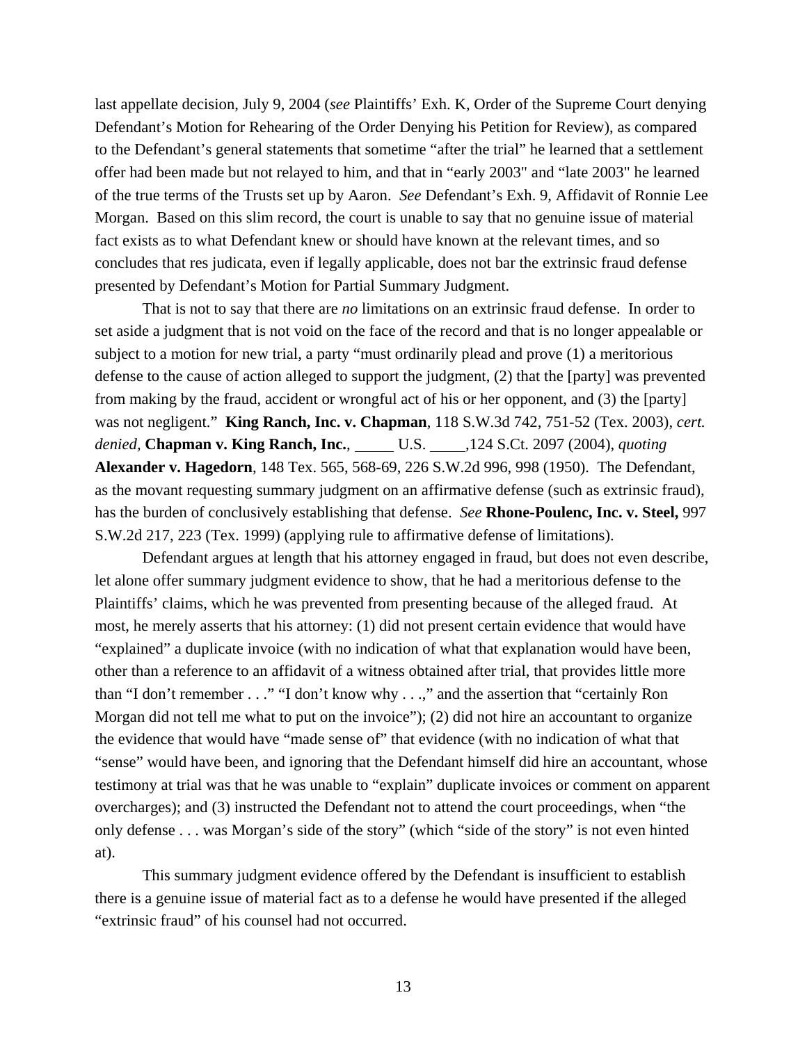last appellate decision, July 9, 2004 (*see* Plaintiffs' Exh. K, Order of the Supreme Court denying Defendant's Motion for Rehearing of the Order Denying his Petition for Review), as compared to the Defendant's general statements that sometime "after the trial" he learned that a settlement offer had been made but not relayed to him, and that in "early 2003" and "late 2003" he learned of the true terms of the Trusts set up by Aaron. *See* Defendant's Exh. 9, Affidavit of Ronnie Lee Morgan. Based on this slim record, the court is unable to say that no genuine issue of material fact exists as to what Defendant knew or should have known at the relevant times, and so concludes that res judicata, even if legally applicable, does not bar the extrinsic fraud defense presented by Defendant's Motion for Partial Summary Judgment.

That is not to say that there are *no* limitations on an extrinsic fraud defense. In order to set aside a judgment that is not void on the face of the record and that is no longer appealable or subject to a motion for new trial, a party "must ordinarily plead and prove (1) a meritorious defense to the cause of action alleged to support the judgment, (2) that the [party] was prevented from making by the fraud, accident or wrongful act of his or her opponent, and (3) the [party] was not negligent." **King Ranch, Inc. v. Chapman**, 118 S.W.3d 742, 751-52 (Tex. 2003), *cert. denied,* **Chapman v. King Ranch, Inc.**, U.S. ,124 S.Ct. 2097 (2004), *quoting* **Alexander v. Hagedorn**, 148 Tex. 565, 568-69, 226 S.W.2d 996, 998 (1950). The Defendant, as the movant requesting summary judgment on an affirmative defense (such as extrinsic fraud), has the burden of conclusively establishing that defense. *See* **Rhone-Poulenc, Inc. v. Steel,** 997 S.W.2d 217, 223 (Tex. 1999) (applying rule to affirmative defense of limitations).

Defendant argues at length that his attorney engaged in fraud, but does not even describe, let alone offer summary judgment evidence to show, that he had a meritorious defense to the Plaintiffs' claims, which he was prevented from presenting because of the alleged fraud. At most, he merely asserts that his attorney: (1) did not present certain evidence that would have "explained" a duplicate invoice (with no indication of what that explanation would have been, other than a reference to an affidavit of a witness obtained after trial, that provides little more than "I don't remember . . ." "I don't know why . . .," and the assertion that "certainly Ron Morgan did not tell me what to put on the invoice"); (2) did not hire an accountant to organize the evidence that would have "made sense of" that evidence (with no indication of what that "sense" would have been, and ignoring that the Defendant himself did hire an accountant, whose testimony at trial was that he was unable to "explain" duplicate invoices or comment on apparent overcharges); and (3) instructed the Defendant not to attend the court proceedings, when "the only defense . . . was Morgan's side of the story" (which "side of the story" is not even hinted at).

This summary judgment evidence offered by the Defendant is insufficient to establish there is a genuine issue of material fact as to a defense he would have presented if the alleged "extrinsic fraud" of his counsel had not occurred.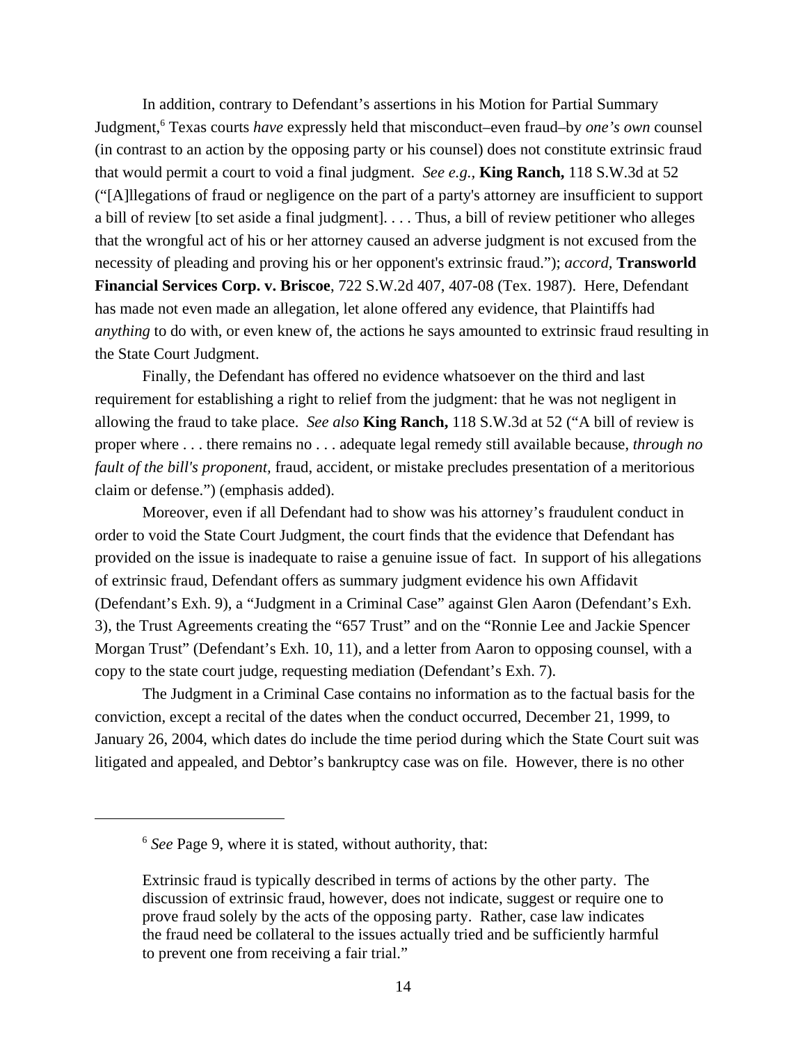In addition, contrary to Defendant's assertions in his Motion for Partial Summary Judgment,6 Texas courts *have* expressly held that misconduct–even fraud–by *one's own* counsel (in contrast to an action by the opposing party or his counsel) does not constitute extrinsic fraud that would permit a court to void a final judgment. *See e.g.,* **King Ranch,** 118 S.W.3d at 52 ("[A]llegations of fraud or negligence on the part of a party's attorney are insufficient to support a bill of review [to set aside a final judgment]. . . . Thus, a bill of review petitioner who alleges that the wrongful act of his or her attorney caused an adverse judgment is not excused from the necessity of pleading and proving his or her opponent's extrinsic fraud."); *accord,* **Transworld Financial Services Corp. v. Briscoe**, 722 S.W.2d 407, 407-08 (Tex. 1987). Here, Defendant has made not even made an allegation, let alone offered any evidence, that Plaintiffs had *anything* to do with, or even knew of, the actions he says amounted to extrinsic fraud resulting in the State Court Judgment.

Finally, the Defendant has offered no evidence whatsoever on the third and last requirement for establishing a right to relief from the judgment: that he was not negligent in allowing the fraud to take place. *See also* **King Ranch,** 118 S.W.3d at 52 ("A bill of review is proper where . . . there remains no . . . adequate legal remedy still available because, *through no fault of the bill's proponent,* fraud, accident, or mistake precludes presentation of a meritorious claim or defense.") (emphasis added).

Moreover, even if all Defendant had to show was his attorney's fraudulent conduct in order to void the State Court Judgment, the court finds that the evidence that Defendant has provided on the issue is inadequate to raise a genuine issue of fact. In support of his allegations of extrinsic fraud, Defendant offers as summary judgment evidence his own Affidavit (Defendant's Exh. 9), a "Judgment in a Criminal Case" against Glen Aaron (Defendant's Exh. 3), the Trust Agreements creating the "657 Trust" and on the "Ronnie Lee and Jackie Spencer Morgan Trust" (Defendant's Exh. 10, 11), and a letter from Aaron to opposing counsel, with a copy to the state court judge, requesting mediation (Defendant's Exh. 7).

The Judgment in a Criminal Case contains no information as to the factual basis for the conviction, except a recital of the dates when the conduct occurred, December 21, 1999, to January 26, 2004, which dates do include the time period during which the State Court suit was litigated and appealed, and Debtor's bankruptcy case was on file. However, there is no other

<sup>6</sup> *See* Page 9, where it is stated, without authority, that:

Extrinsic fraud is typically described in terms of actions by the other party. The discussion of extrinsic fraud, however, does not indicate, suggest or require one to prove fraud solely by the acts of the opposing party. Rather, case law indicates the fraud need be collateral to the issues actually tried and be sufficiently harmful to prevent one from receiving a fair trial."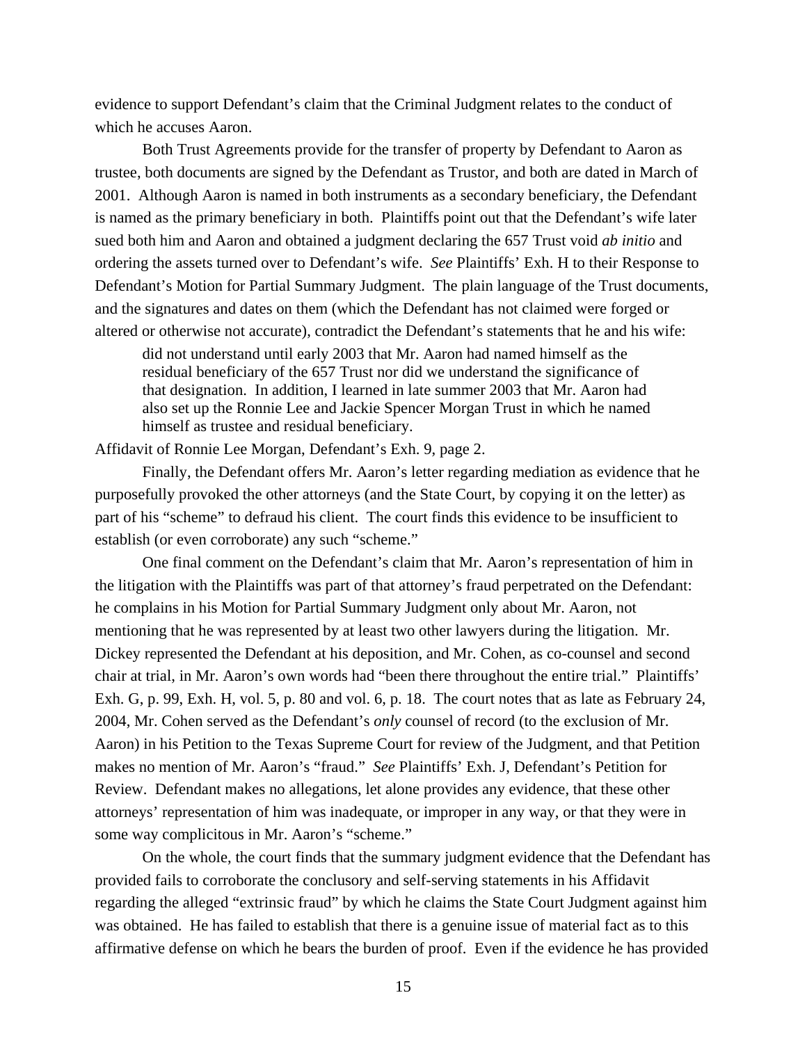evidence to support Defendant's claim that the Criminal Judgment relates to the conduct of which he accuses Aaron.

Both Trust Agreements provide for the transfer of property by Defendant to Aaron as trustee, both documents are signed by the Defendant as Trustor, and both are dated in March of 2001. Although Aaron is named in both instruments as a secondary beneficiary, the Defendant is named as the primary beneficiary in both. Plaintiffs point out that the Defendant's wife later sued both him and Aaron and obtained a judgment declaring the 657 Trust void *ab initio* and ordering the assets turned over to Defendant's wife. *See* Plaintiffs' Exh. H to their Response to Defendant's Motion for Partial Summary Judgment. The plain language of the Trust documents, and the signatures and dates on them (which the Defendant has not claimed were forged or altered or otherwise not accurate), contradict the Defendant's statements that he and his wife:

did not understand until early 2003 that Mr. Aaron had named himself as the residual beneficiary of the 657 Trust nor did we understand the significance of that designation. In addition, I learned in late summer 2003 that Mr. Aaron had also set up the Ronnie Lee and Jackie Spencer Morgan Trust in which he named himself as trustee and residual beneficiary.

Affidavit of Ronnie Lee Morgan, Defendant's Exh. 9, page 2.

Finally, the Defendant offers Mr. Aaron's letter regarding mediation as evidence that he purposefully provoked the other attorneys (and the State Court, by copying it on the letter) as part of his "scheme" to defraud his client. The court finds this evidence to be insufficient to establish (or even corroborate) any such "scheme."

One final comment on the Defendant's claim that Mr. Aaron's representation of him in the litigation with the Plaintiffs was part of that attorney's fraud perpetrated on the Defendant: he complains in his Motion for Partial Summary Judgment only about Mr. Aaron, not mentioning that he was represented by at least two other lawyers during the litigation. Mr. Dickey represented the Defendant at his deposition, and Mr. Cohen, as co-counsel and second chair at trial, in Mr. Aaron's own words had "been there throughout the entire trial." Plaintiffs' Exh. G, p. 99, Exh. H, vol. 5, p. 80 and vol. 6, p. 18. The court notes that as late as February 24, 2004, Mr. Cohen served as the Defendant's *only* counsel of record (to the exclusion of Mr. Aaron) in his Petition to the Texas Supreme Court for review of the Judgment, and that Petition makes no mention of Mr. Aaron's "fraud." *See* Plaintiffs' Exh. J, Defendant's Petition for Review. Defendant makes no allegations, let alone provides any evidence, that these other attorneys' representation of him was inadequate, or improper in any way, or that they were in some way complicitous in Mr. Aaron's "scheme."

On the whole, the court finds that the summary judgment evidence that the Defendant has provided fails to corroborate the conclusory and self-serving statements in his Affidavit regarding the alleged "extrinsic fraud" by which he claims the State Court Judgment against him was obtained. He has failed to establish that there is a genuine issue of material fact as to this affirmative defense on which he bears the burden of proof. Even if the evidence he has provided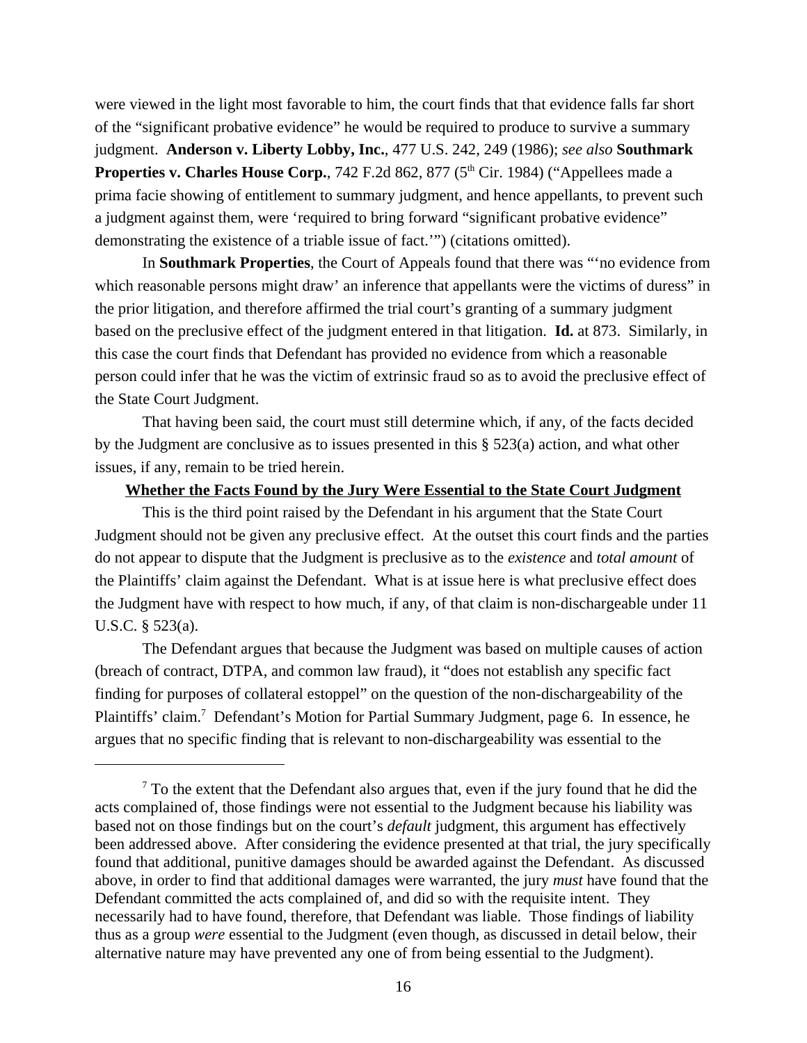were viewed in the light most favorable to him, the court finds that that evidence falls far short of the "significant probative evidence" he would be required to produce to survive a summary judgment. **Anderson v. Liberty Lobby, Inc.**, 477 U.S. 242, 249 (1986); *see also* **Southmark Properties v. Charles House Corp.**, 742 F.2d 862, 877 (5<sup>th</sup> Cir. 1984) ("Appellees made a prima facie showing of entitlement to summary judgment, and hence appellants, to prevent such a judgment against them, were 'required to bring forward "significant probative evidence" demonstrating the existence of a triable issue of fact.'") (citations omitted).

In **Southmark Properties**, the Court of Appeals found that there was "'no evidence from which reasonable persons might draw' an inference that appellants were the victims of duress" in the prior litigation, and therefore affirmed the trial court's granting of a summary judgment based on the preclusive effect of the judgment entered in that litigation. **Id.** at 873. Similarly, in this case the court finds that Defendant has provided no evidence from which a reasonable person could infer that he was the victim of extrinsic fraud so as to avoid the preclusive effect of the State Court Judgment.

That having been said, the court must still determine which, if any, of the facts decided by the Judgment are conclusive as to issues presented in this § 523(a) action, and what other issues, if any, remain to be tried herein.

#### **Whether the Facts Found by the Jury Were Essential to the State Court Judgment**

This is the third point raised by the Defendant in his argument that the State Court Judgment should not be given any preclusive effect. At the outset this court finds and the parties do not appear to dispute that the Judgment is preclusive as to the *existence* and *total amount* of the Plaintiffs' claim against the Defendant. What is at issue here is what preclusive effect does the Judgment have with respect to how much, if any, of that claim is non-dischargeable under 11 U.S.C. § 523(a).

The Defendant argues that because the Judgment was based on multiple causes of action (breach of contract, DTPA, and common law fraud), it "does not establish any specific fact finding for purposes of collateral estoppel" on the question of the non-dischargeability of the Plaintiffs' claim.<sup>7</sup> Defendant's Motion for Partial Summary Judgment, page 6. In essence, he argues that no specific finding that is relevant to non-dischargeability was essential to the

 $<sup>7</sup>$  To the extent that the Defendant also argues that, even if the jury found that he did the</sup> acts complained of, those findings were not essential to the Judgment because his liability was based not on those findings but on the court's *default* judgment, this argument has effectively been addressed above. After considering the evidence presented at that trial, the jury specifically found that additional, punitive damages should be awarded against the Defendant. As discussed above, in order to find that additional damages were warranted, the jury *must* have found that the Defendant committed the acts complained of, and did so with the requisite intent. They necessarily had to have found, therefore, that Defendant was liable. Those findings of liability thus as a group *were* essential to the Judgment (even though, as discussed in detail below, their alternative nature may have prevented any one of from being essential to the Judgment).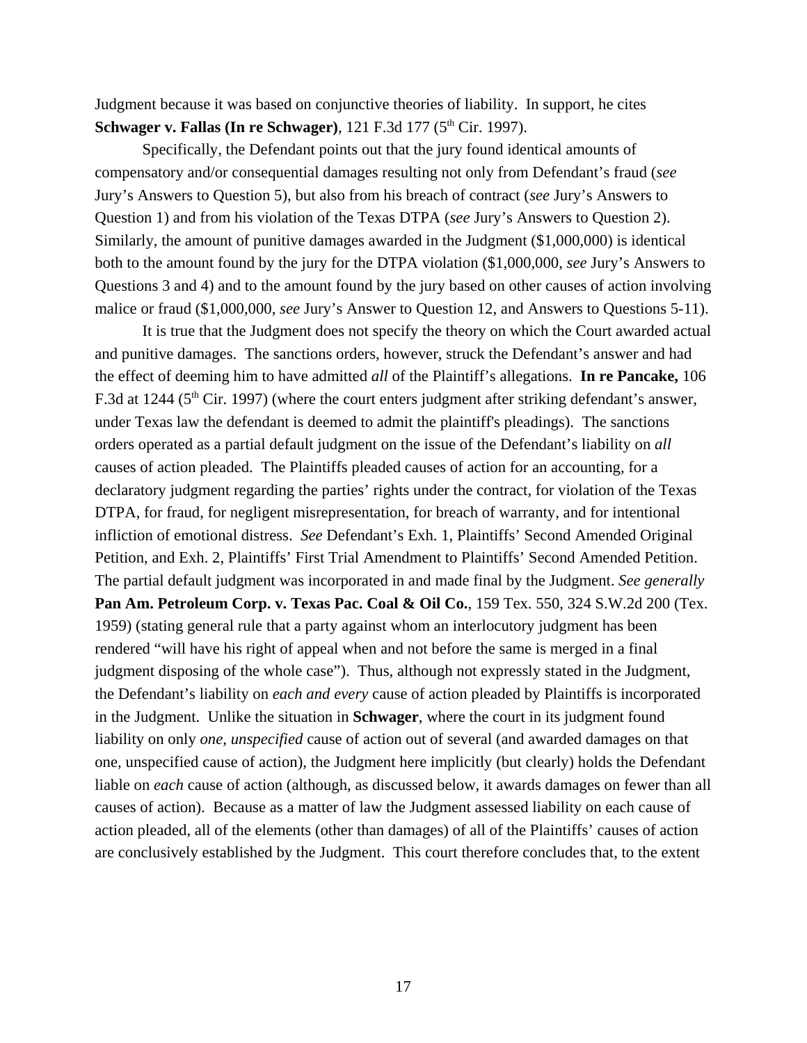Judgment because it was based on conjunctive theories of liability. In support, he cites **Schwager v. Fallas (In re Schwager)**, 121 F.3d 177 (5<sup>th</sup> Cir. 1997).

Specifically, the Defendant points out that the jury found identical amounts of compensatory and/or consequential damages resulting not only from Defendant's fraud (*see* Jury's Answers to Question 5), but also from his breach of contract (*see* Jury's Answers to Question 1) and from his violation of the Texas DTPA (*see* Jury's Answers to Question 2). Similarly, the amount of punitive damages awarded in the Judgment (\$1,000,000) is identical both to the amount found by the jury for the DTPA violation (\$1,000,000, *see* Jury's Answers to Questions 3 and 4) and to the amount found by the jury based on other causes of action involving malice or fraud (\$1,000,000, *see* Jury's Answer to Question 12, and Answers to Questions 5-11).

It is true that the Judgment does not specify the theory on which the Court awarded actual and punitive damages. The sanctions orders, however, struck the Defendant's answer and had the effect of deeming him to have admitted *all* of the Plaintiff's allegations. **In re Pancake,** 106 F.3d at 1244 (5<sup>th</sup> Cir. 1997) (where the court enters judgment after striking defendant's answer, under Texas law the defendant is deemed to admit the plaintiff's pleadings). The sanctions orders operated as a partial default judgment on the issue of the Defendant's liability on *all* causes of action pleaded. The Plaintiffs pleaded causes of action for an accounting, for a declaratory judgment regarding the parties' rights under the contract, for violation of the Texas DTPA, for fraud, for negligent misrepresentation, for breach of warranty, and for intentional infliction of emotional distress. *See* Defendant's Exh. 1, Plaintiffs' Second Amended Original Petition, and Exh. 2, Plaintiffs' First Trial Amendment to Plaintiffs' Second Amended Petition. The partial default judgment was incorporated in and made final by the Judgment. *See generally* **Pan Am. Petroleum Corp. v. Texas Pac. Coal & Oil Co.**, 159 Tex. 550, 324 S.W.2d 200 (Tex. 1959) (stating general rule that a party against whom an interlocutory judgment has been rendered "will have his right of appeal when and not before the same is merged in a final judgment disposing of the whole case"). Thus, although not expressly stated in the Judgment, the Defendant's liability on *each and every* cause of action pleaded by Plaintiffs is incorporated in the Judgment. Unlike the situation in **Schwager**, where the court in its judgment found liability on only *one, unspecified* cause of action out of several (and awarded damages on that one, unspecified cause of action), the Judgment here implicitly (but clearly) holds the Defendant liable on *each* cause of action (although, as discussed below, it awards damages on fewer than all causes of action). Because as a matter of law the Judgment assessed liability on each cause of action pleaded, all of the elements (other than damages) of all of the Plaintiffs' causes of action are conclusively established by the Judgment. This court therefore concludes that, to the extent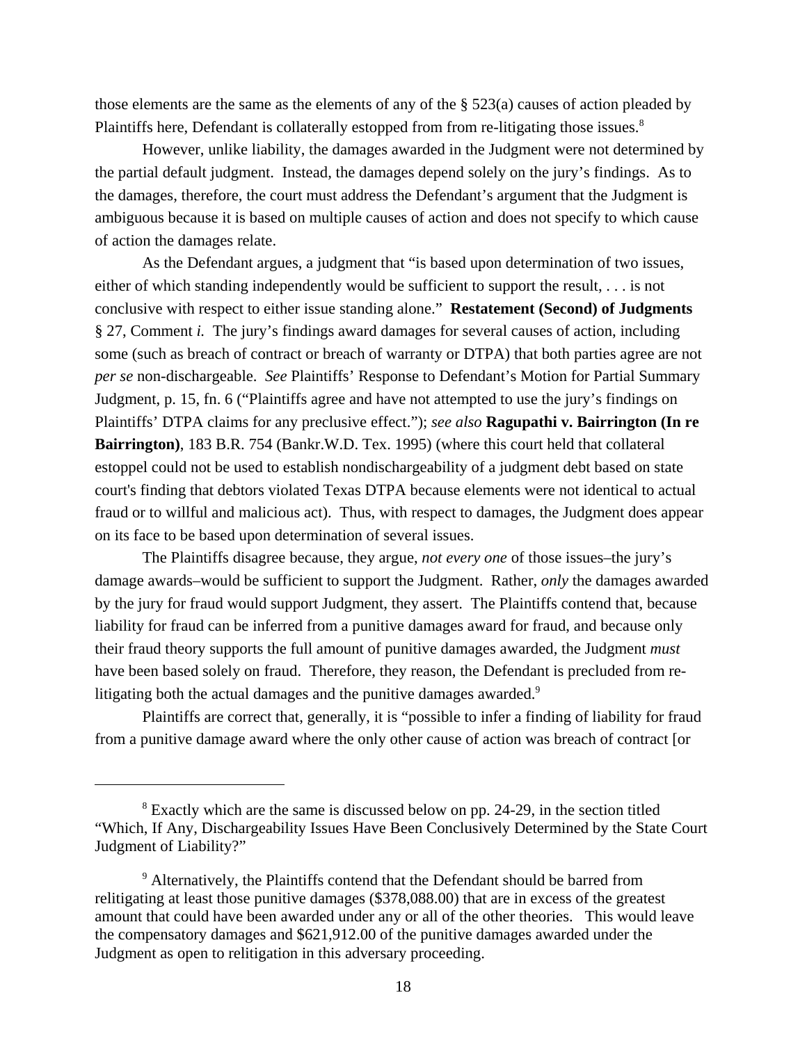those elements are the same as the elements of any of the § 523(a) causes of action pleaded by Plaintiffs here, Defendant is collaterally estopped from from re-litigating those issues.<sup>8</sup>

However, unlike liability, the damages awarded in the Judgment were not determined by the partial default judgment. Instead, the damages depend solely on the jury's findings. As to the damages, therefore, the court must address the Defendant's argument that the Judgment is ambiguous because it is based on multiple causes of action and does not specify to which cause of action the damages relate.

As the Defendant argues, a judgment that "is based upon determination of two issues, either of which standing independently would be sufficient to support the result, . . . is not conclusive with respect to either issue standing alone." **Restatement (Second) of Judgments** § 27, Comment *i.* The jury's findings award damages for several causes of action, including some (such as breach of contract or breach of warranty or DTPA) that both parties agree are not *per se* non-dischargeable. *See* Plaintiffs' Response to Defendant's Motion for Partial Summary Judgment, p. 15, fn. 6 ("Plaintiffs agree and have not attempted to use the jury's findings on Plaintiffs' DTPA claims for any preclusive effect."); *see also* **Ragupathi v. Bairrington (In re Bairrington)**, 183 B.R. 754 (Bankr.W.D. Tex. 1995) (where this court held that collateral estoppel could not be used to establish nondischargeability of a judgment debt based on state court's finding that debtors violated Texas DTPA because elements were not identical to actual fraud or to willful and malicious act). Thus, with respect to damages, the Judgment does appear on its face to be based upon determination of several issues.

The Plaintiffs disagree because, they argue, *not every one* of those issues–the jury's damage awards–would be sufficient to support the Judgment. Rather, *only* the damages awarded by the jury for fraud would support Judgment, they assert. The Plaintiffs contend that, because liability for fraud can be inferred from a punitive damages award for fraud, and because only their fraud theory supports the full amount of punitive damages awarded, the Judgment *must* have been based solely on fraud. Therefore, they reason, the Defendant is precluded from relitigating both the actual damages and the punitive damages awarded.<sup>9</sup>

Plaintiffs are correct that, generally, it is "possible to infer a finding of liability for fraud from a punitive damage award where the only other cause of action was breach of contract [or

<sup>&</sup>lt;sup>8</sup> Exactly which are the same is discussed below on pp. 24-29, in the section titled "Which, If Any, Dischargeability Issues Have Been Conclusively Determined by the State Court Judgment of Liability?"

<sup>&</sup>lt;sup>9</sup> Alternatively, the Plaintiffs contend that the Defendant should be barred from relitigating at least those punitive damages (\$378,088.00) that are in excess of the greatest amount that could have been awarded under any or all of the other theories. This would leave the compensatory damages and \$621,912.00 of the punitive damages awarded under the Judgment as open to relitigation in this adversary proceeding.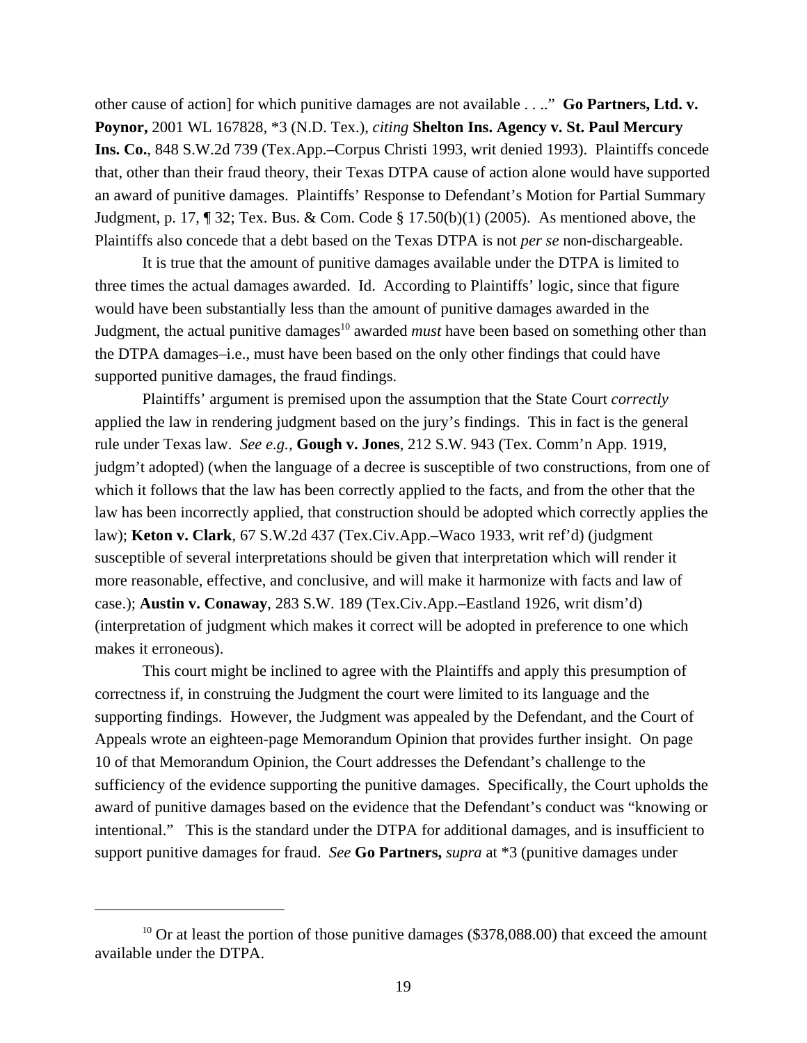other cause of action] for which punitive damages are not available . . .." **Go Partners, Ltd. v. Poynor,** 2001 WL 167828, \*3 (N.D. Tex.), *citing* **Shelton Ins. Agency v. St. Paul Mercury Ins. Co.**, 848 S.W.2d 739 (Tex.App.–Corpus Christi 1993, writ denied 1993). Plaintiffs concede that, other than their fraud theory, their Texas DTPA cause of action alone would have supported an award of punitive damages. Plaintiffs' Response to Defendant's Motion for Partial Summary Judgment, p. 17, ¶ 32; Tex. Bus. & Com. Code § 17.50(b)(1) (2005). As mentioned above, the Plaintiffs also concede that a debt based on the Texas DTPA is not *per se* non-dischargeable.

It is true that the amount of punitive damages available under the DTPA is limited to three times the actual damages awarded. Id. According to Plaintiffs' logic, since that figure would have been substantially less than the amount of punitive damages awarded in the Judgment, the actual punitive damages<sup>10</sup> awarded *must* have been based on something other than the DTPA damages–i.e., must have been based on the only other findings that could have supported punitive damages, the fraud findings.

Plaintiffs' argument is premised upon the assumption that the State Court *correctly* applied the law in rendering judgment based on the jury's findings. This in fact is the general rule under Texas law. *See e.g.,* **Gough v. Jones**, 212 S.W. 943 (Tex. Comm'n App. 1919, judgm't adopted) (when the language of a decree is susceptible of two constructions, from one of which it follows that the law has been correctly applied to the facts, and from the other that the law has been incorrectly applied, that construction should be adopted which correctly applies the law); **Keton v. Clark**, 67 S.W.2d 437 (Tex.Civ.App.–Waco 1933, writ ref'd) (judgment susceptible of several interpretations should be given that interpretation which will render it more reasonable, effective, and conclusive, and will make it harmonize with facts and law of case.); **Austin v. Conaway**, 283 S.W. 189 (Tex.Civ.App.–Eastland 1926, writ dism'd) (interpretation of judgment which makes it correct will be adopted in preference to one which makes it erroneous).

This court might be inclined to agree with the Plaintiffs and apply this presumption of correctness if, in construing the Judgment the court were limited to its language and the supporting findings. However, the Judgment was appealed by the Defendant, and the Court of Appeals wrote an eighteen-page Memorandum Opinion that provides further insight. On page 10 of that Memorandum Opinion, the Court addresses the Defendant's challenge to the sufficiency of the evidence supporting the punitive damages. Specifically, the Court upholds the award of punitive damages based on the evidence that the Defendant's conduct was "knowing or intentional." This is the standard under the DTPA for additional damages, and is insufficient to support punitive damages for fraud. *See* **Go Partners,** *supra* at \*3 (punitive damages under

<sup>&</sup>lt;sup>10</sup> Or at least the portion of those punitive damages (\$378,088.00) that exceed the amount available under the DTPA.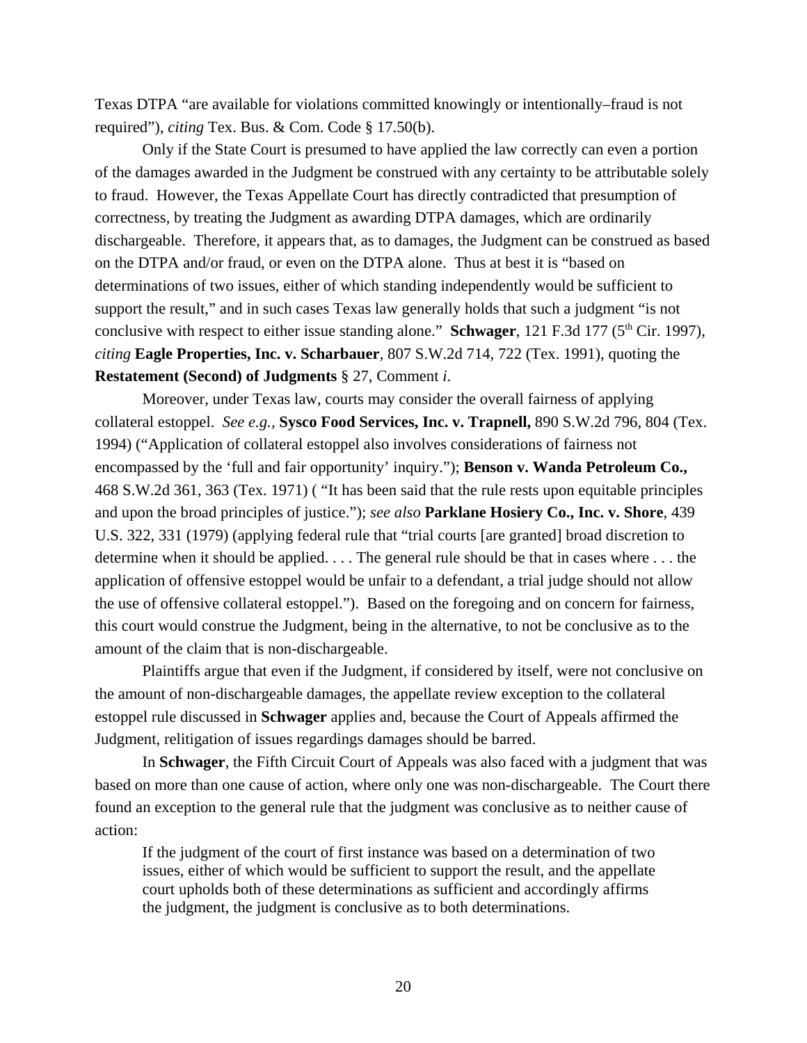Texas DTPA "are available for violations committed knowingly or intentionally–fraud is not required"), *citing* Tex. Bus. & Com. Code § 17.50(b).

Only if the State Court is presumed to have applied the law correctly can even a portion of the damages awarded in the Judgment be construed with any certainty to be attributable solely to fraud. However, the Texas Appellate Court has directly contradicted that presumption of correctness, by treating the Judgment as awarding DTPA damages, which are ordinarily dischargeable. Therefore, it appears that, as to damages, the Judgment can be construed as based on the DTPA and/or fraud, or even on the DTPA alone. Thus at best it is "based on determinations of two issues, either of which standing independently would be sufficient to support the result," and in such cases Texas law generally holds that such a judgment "is not conclusive with respect to either issue standing alone." **Schwager**, 121 F.3d 177 (5<sup>th</sup> Cir. 1997), *citing* **Eagle Properties, Inc. v. Scharbauer**, 807 S.W.2d 714, 722 (Tex. 1991), quoting the **Restatement (Second) of Judgments** § 27, Comment *i*.

Moreover, under Texas law, courts may consider the overall fairness of applying collateral estoppel. *See e.g.,* **Sysco Food Services, Inc. v. Trapnell,** 890 S.W.2d 796, 804 (Tex. 1994) ("Application of collateral estoppel also involves considerations of fairness not encompassed by the 'full and fair opportunity' inquiry."); **Benson v. Wanda Petroleum Co.,** 468 S.W.2d 361, 363 (Tex. 1971) ( "It has been said that the rule rests upon equitable principles and upon the broad principles of justice."); *see also* **Parklane Hosiery Co., Inc. v. Shore**, 439 U.S. 322, 331 (1979) (applying federal rule that "trial courts [are granted] broad discretion to determine when it should be applied. . . . The general rule should be that in cases where . . . the application of offensive estoppel would be unfair to a defendant, a trial judge should not allow the use of offensive collateral estoppel."). Based on the foregoing and on concern for fairness, this court would construe the Judgment, being in the alternative, to not be conclusive as to the amount of the claim that is non-dischargeable.

Plaintiffs argue that even if the Judgment, if considered by itself, were not conclusive on the amount of non-dischargeable damages, the appellate review exception to the collateral estoppel rule discussed in **Schwager** applies and, because the Court of Appeals affirmed the Judgment, relitigation of issues regardings damages should be barred.

In **Schwager**, the Fifth Circuit Court of Appeals was also faced with a judgment that was based on more than one cause of action, where only one was non-dischargeable. The Court there found an exception to the general rule that the judgment was conclusive as to neither cause of action:

If the judgment of the court of first instance was based on a determination of two issues, either of which would be sufficient to support the result, and the appellate court upholds both of these determinations as sufficient and accordingly affirms the judgment, the judgment is conclusive as to both determinations.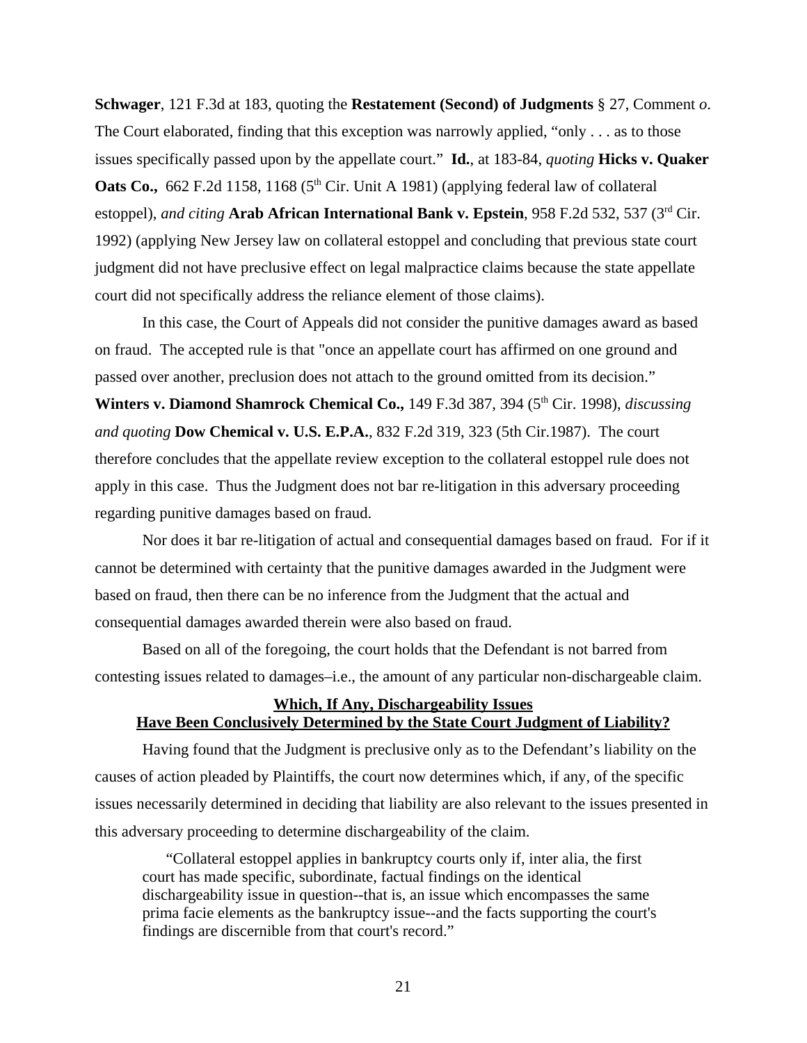**Schwager**, 121 F.3d at 183, quoting the **Restatement (Second) of Judgments** § 27, Comment *o*. The Court elaborated, finding that this exception was narrowly applied, "only . . . as to those issues specifically passed upon by the appellate court." **Id.**, at 183-84, *quoting* **Hicks v. Quaker Oats Co.,** 662 F.2d 1158, 1168 ( $5<sup>th</sup>$  Cir. Unit A 1981) (applying federal law of collateral estoppel), *and citing* **Arab African International Bank v. Epstein**, 958 F.2d 532, 537 (3rd Cir. 1992) (applying New Jersey law on collateral estoppel and concluding that previous state court judgment did not have preclusive effect on legal malpractice claims because the state appellate court did not specifically address the reliance element of those claims).

In this case, the Court of Appeals did not consider the punitive damages award as based on fraud. The accepted rule is that "once an appellate court has affirmed on one ground and passed over another, preclusion does not attach to the ground omitted from its decision." **Winters v. Diamond Shamrock Chemical Co.,** 149 F.3d 387, 394 (5<sup>th</sup> Cir. 1998), *discussing and quoting* **Dow Chemical v. U.S. E.P.A.**, 832 F.2d 319, 323 (5th Cir.1987). The court therefore concludes that the appellate review exception to the collateral estoppel rule does not apply in this case. Thus the Judgment does not bar re-litigation in this adversary proceeding regarding punitive damages based on fraud.

Nor does it bar re-litigation of actual and consequential damages based on fraud. For if it cannot be determined with certainty that the punitive damages awarded in the Judgment were based on fraud, then there can be no inference from the Judgment that the actual and consequential damages awarded therein were also based on fraud.

Based on all of the foregoing, the court holds that the Defendant is not barred from contesting issues related to damages–i.e., the amount of any particular non-dischargeable claim.

### **Which, If Any, Dischargeability Issues Have Been Conclusively Determined by the State Court Judgment of Liability?**

Having found that the Judgment is preclusive only as to the Defendant's liability on the causes of action pleaded by Plaintiffs, the court now determines which, if any, of the specific issues necessarily determined in deciding that liability are also relevant to the issues presented in this adversary proceeding to determine dischargeability of the claim.

"Collateral estoppel applies in bankruptcy courts only if, inter alia, the first court has made specific, subordinate, factual findings on the identical dischargeability issue in question--that is, an issue which encompasses the same prima facie elements as the bankruptcy issue--and the facts supporting the court's findings are discernible from that court's record."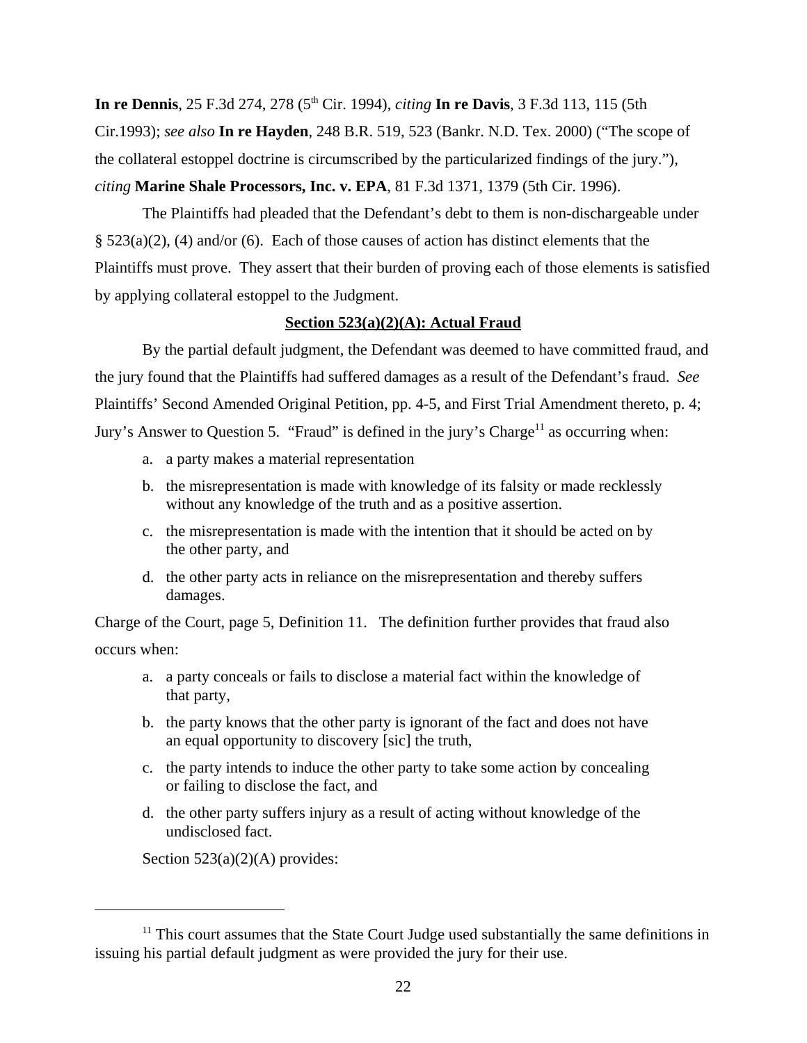**In re Dennis**, 25 F.3d 274, 278 (5<sup>th</sup> Cir. 1994), *citing* **In re Davis**, 3 F.3d 113, 115 (5th Cir.1993); *see also* **In re Hayden**, 248 B.R. 519, 523 (Bankr. N.D. Tex. 2000) ("The scope of the collateral estoppel doctrine is circumscribed by the particularized findings of the jury."), *citing* **Marine Shale Processors, Inc. v. EPA**, 81 F.3d 1371, 1379 (5th Cir. 1996).

The Plaintiffs had pleaded that the Defendant's debt to them is non-dischargeable under § 523(a)(2), (4) and/or (6). Each of those causes of action has distinct elements that the Plaintiffs must prove. They assert that their burden of proving each of those elements is satisfied by applying collateral estoppel to the Judgment.

# **Section 523(a)(2)(A): Actual Fraud**

By the partial default judgment, the Defendant was deemed to have committed fraud, and the jury found that the Plaintiffs had suffered damages as a result of the Defendant's fraud. *See* Plaintiffs' Second Amended Original Petition, pp. 4-5, and First Trial Amendment thereto, p. 4; Jury's Answer to Question 5. "Fraud" is defined in the jury's Charge<sup>11</sup> as occurring when:

- a. a party makes a material representation
- b. the misrepresentation is made with knowledge of its falsity or made recklessly without any knowledge of the truth and as a positive assertion.
- c. the misrepresentation is made with the intention that it should be acted on by the other party, and
- d. the other party acts in reliance on the misrepresentation and thereby suffers damages.

Charge of the Court, page 5, Definition 11. The definition further provides that fraud also occurs when:

- a. a party conceals or fails to disclose a material fact within the knowledge of that party,
- b. the party knows that the other party is ignorant of the fact and does not have an equal opportunity to discovery [sic] the truth,
- c. the party intends to induce the other party to take some action by concealing or failing to disclose the fact, and
- d. the other party suffers injury as a result of acting without knowledge of the undisclosed fact.

Section  $523(a)(2)(A)$  provides:

 $11$ <sup>11</sup> This court assumes that the State Court Judge used substantially the same definitions in issuing his partial default judgment as were provided the jury for their use.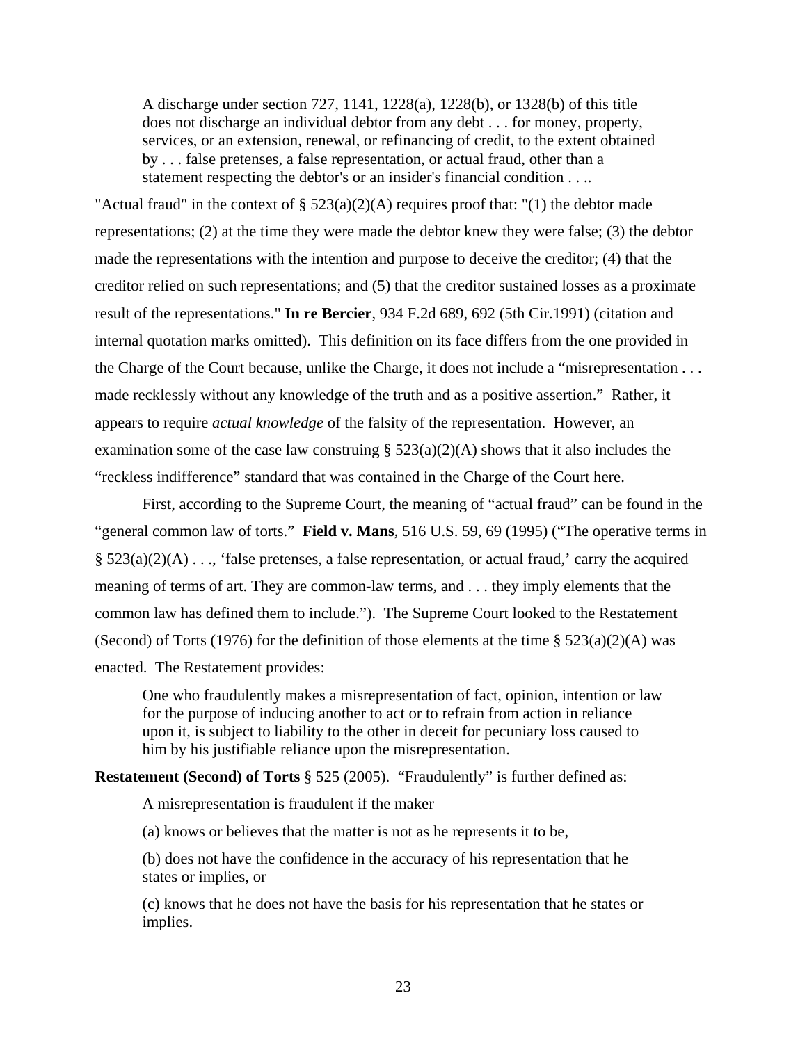A discharge under section 727, 1141, 1228(a), 1228(b), or 1328(b) of this title does not discharge an individual debtor from any debt . . . for money, property, services, or an extension, renewal, or refinancing of credit, to the extent obtained by . . . false pretenses, a false representation, or actual fraud, other than a statement respecting the debtor's or an insider's financial condition . . ..

"Actual fraud" in the context of  $\S$  523(a)(2)(A) requires proof that: "(1) the debtor made representations; (2) at the time they were made the debtor knew they were false; (3) the debtor made the representations with the intention and purpose to deceive the creditor; (4) that the creditor relied on such representations; and (5) that the creditor sustained losses as a proximate result of the representations." **In re Bercier**, 934 F.2d 689, 692 (5th Cir.1991) (citation and internal quotation marks omitted). This definition on its face differs from the one provided in the Charge of the Court because, unlike the Charge, it does not include a "misrepresentation . . . made recklessly without any knowledge of the truth and as a positive assertion." Rather, it appears to require *actual knowledge* of the falsity of the representation. However, an examination some of the case law construing  $\S$  523(a)(2)(A) shows that it also includes the "reckless indifference" standard that was contained in the Charge of the Court here.

First, according to the Supreme Court, the meaning of "actual fraud" can be found in the "general common law of torts." **Field v. Mans**, 516 U.S. 59, 69 (1995) ("The operative terms in  $\S$  523(a)(2)(A) . . ., 'false pretenses, a false representation, or actual fraud,' carry the acquired meaning of terms of art. They are common-law terms, and . . . they imply elements that the common law has defined them to include."). The Supreme Court looked to the Restatement (Second) of Torts (1976) for the definition of those elements at the time  $\S 523(a)(2)(A)$  was enacted. The Restatement provides:

One who fraudulently makes a misrepresentation of fact, opinion, intention or law for the purpose of inducing another to act or to refrain from action in reliance upon it, is subject to liability to the other in deceit for pecuniary loss caused to him by his justifiable reliance upon the misrepresentation.

**Restatement (Second) of Torts** § 525 (2005). "Fraudulently" is further defined as:

A misrepresentation is fraudulent if the maker

(a) knows or believes that the matter is not as he represents it to be,

(b) does not have the confidence in the accuracy of his representation that he states or implies, or

(c) knows that he does not have the basis for his representation that he states or implies.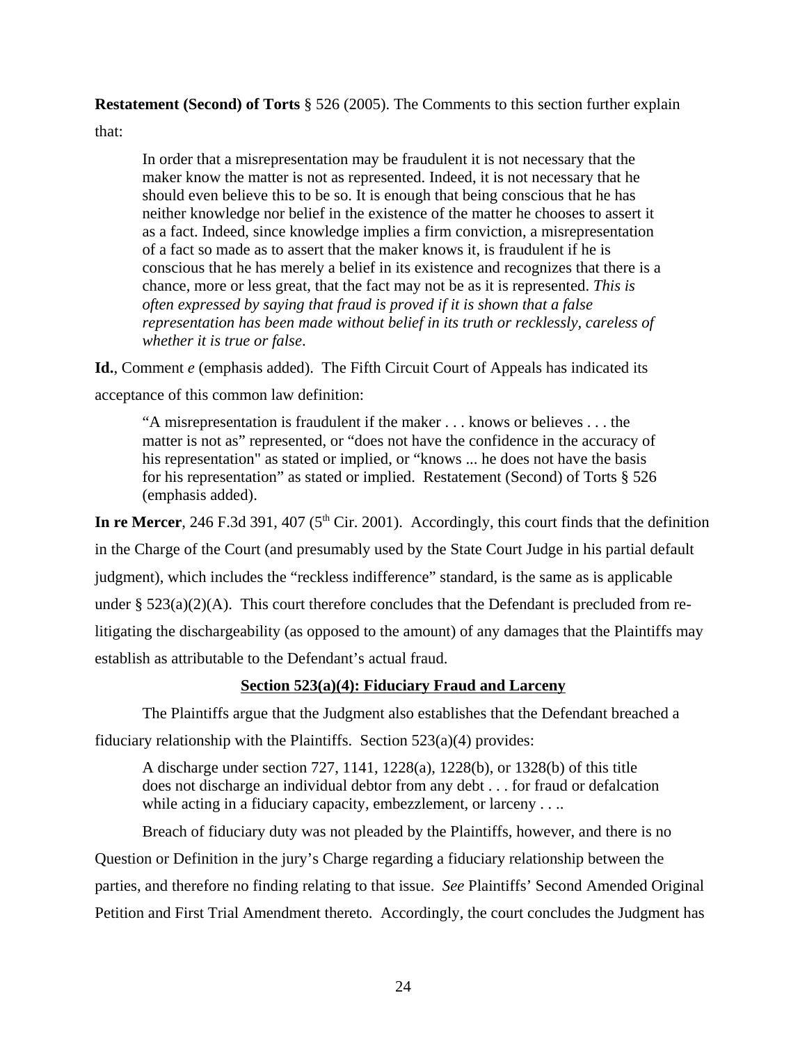**Restatement (Second) of Torts** § 526 (2005). The Comments to this section further explain

that:

In order that a misrepresentation may be fraudulent it is not necessary that the maker know the matter is not as represented. Indeed, it is not necessary that he should even believe this to be so. It is enough that being conscious that he has neither knowledge nor belief in the existence of the matter he chooses to assert it as a fact. Indeed, since knowledge implies a firm conviction, a misrepresentation of a fact so made as to assert that the maker knows it, is fraudulent if he is conscious that he has merely a belief in its existence and recognizes that there is a chance, more or less great, that the fact may not be as it is represented. *This is often expressed by saying that fraud is proved if it is shown that a false representation has been made without belief in its truth or recklessly, careless of whether it is true or false*.

**Id.**, Comment *e* (emphasis added). The Fifth Circuit Court of Appeals has indicated its acceptance of this common law definition:

"A misrepresentation is fraudulent if the maker . . . knows or believes . . . the matter is not as" represented, or "does not have the confidence in the accuracy of his representation" as stated or implied, or "knows ... he does not have the basis for his representation" as stated or implied. Restatement (Second) of Torts § 526 (emphasis added).

In re Mercer, 246 F.3d 391, 407 ( $5<sup>th</sup>$  Cir. 2001). Accordingly, this court finds that the definition in the Charge of the Court (and presumably used by the State Court Judge in his partial default judgment), which includes the "reckless indifference" standard, is the same as is applicable under  $\S 523(a)(2)(A)$ . This court therefore concludes that the Defendant is precluded from relitigating the dischargeability (as opposed to the amount) of any damages that the Plaintiffs may establish as attributable to the Defendant's actual fraud.

# **Section 523(a)(4): Fiduciary Fraud and Larceny**

The Plaintiffs argue that the Judgment also establishes that the Defendant breached a fiduciary relationship with the Plaintiffs. Section  $523(a)(4)$  provides:

A discharge under section 727, 1141, 1228(a), 1228(b), or 1328(b) of this title does not discharge an individual debtor from any debt . . . for fraud or defalcation while acting in a fiduciary capacity, embezzlement, or larceny . . ..

Breach of fiduciary duty was not pleaded by the Plaintiffs, however, and there is no Question or Definition in the jury's Charge regarding a fiduciary relationship between the parties, and therefore no finding relating to that issue. *See* Plaintiffs' Second Amended Original Petition and First Trial Amendment thereto. Accordingly, the court concludes the Judgment has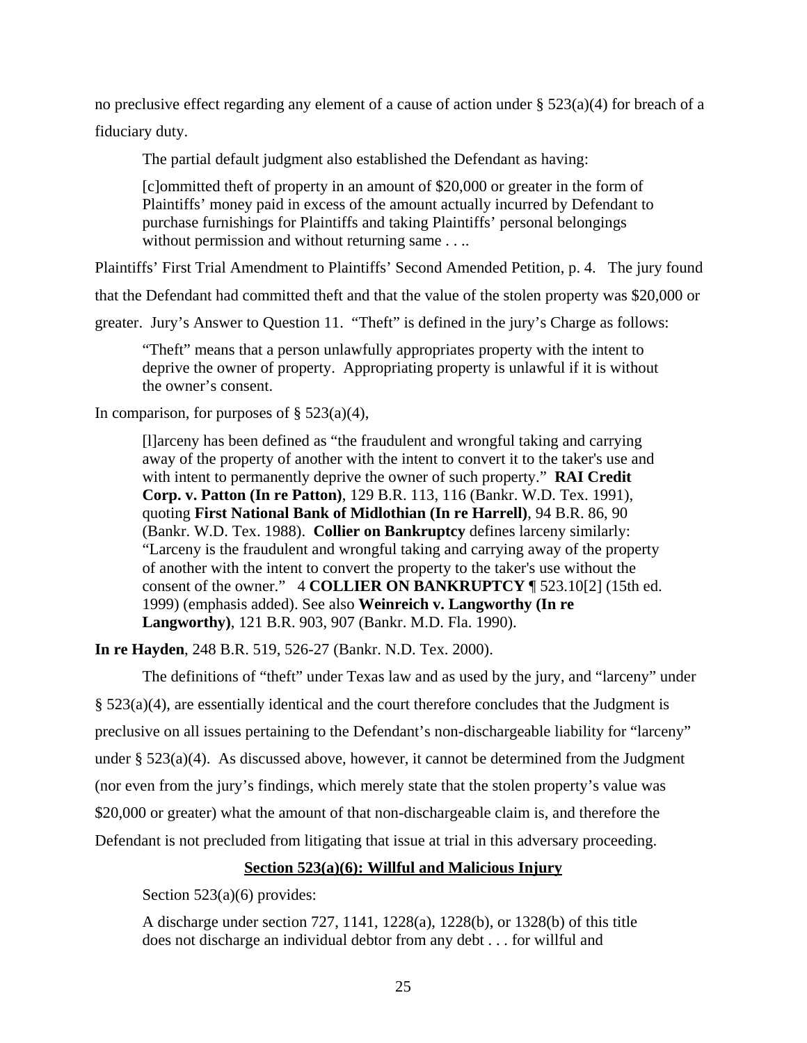no preclusive effect regarding any element of a cause of action under § 523(a)(4) for breach of a fiduciary duty.

The partial default judgment also established the Defendant as having:

[c]ommitted theft of property in an amount of \$20,000 or greater in the form of Plaintiffs' money paid in excess of the amount actually incurred by Defendant to purchase furnishings for Plaintiffs and taking Plaintiffs' personal belongings without permission and without returning same . . ..

Plaintiffs' First Trial Amendment to Plaintiffs' Second Amended Petition, p. 4. The jury found

that the Defendant had committed theft and that the value of the stolen property was \$20,000 or

greater. Jury's Answer to Question 11. "Theft" is defined in the jury's Charge as follows:

"Theft" means that a person unlawfully appropriates property with the intent to deprive the owner of property. Appropriating property is unlawful if it is without the owner's consent.

In comparison, for purposes of  $\S$  523(a)(4),

[l]arceny has been defined as "the fraudulent and wrongful taking and carrying away of the property of another with the intent to convert it to the taker's use and with intent to permanently deprive the owner of such property." **RAI Credit Corp. v. Patton (In re Patton)**, 129 B.R. 113, 116 (Bankr. W.D. Tex. 1991), quoting **First National Bank of Midlothian (In re Harrell)**, 94 B.R. 86, 90 (Bankr. W.D. Tex. 1988). **Collier on Bankruptcy** defines larceny similarly: "Larceny is the fraudulent and wrongful taking and carrying away of the property of another with the intent to convert the property to the taker's use without the consent of the owner." 4 **COLLIER ON BANKRUPTCY** ¶ 523.10[2] (15th ed. 1999) (emphasis added). See also **Weinreich v. Langworthy (In re Langworthy)**, 121 B.R. 903, 907 (Bankr. M.D. Fla. 1990).

**In re Hayden**, 248 B.R. 519, 526-27 (Bankr. N.D. Tex. 2000).

The definitions of "theft" under Texas law and as used by the jury, and "larceny" under § 523(a)(4), are essentially identical and the court therefore concludes that the Judgment is preclusive on all issues pertaining to the Defendant's non-dischargeable liability for "larceny" under  $\S 523(a)(4)$ . As discussed above, however, it cannot be determined from the Judgment (nor even from the jury's findings, which merely state that the stolen property's value was \$20,000 or greater) what the amount of that non-dischargeable claim is, and therefore the Defendant is not precluded from litigating that issue at trial in this adversary proceeding.

#### **Section 523(a)(6): Willful and Malicious Injury**

Section 523(a)(6) provides:

A discharge under section 727, 1141, 1228(a), 1228(b), or 1328(b) of this title does not discharge an individual debtor from any debt . . . for willful and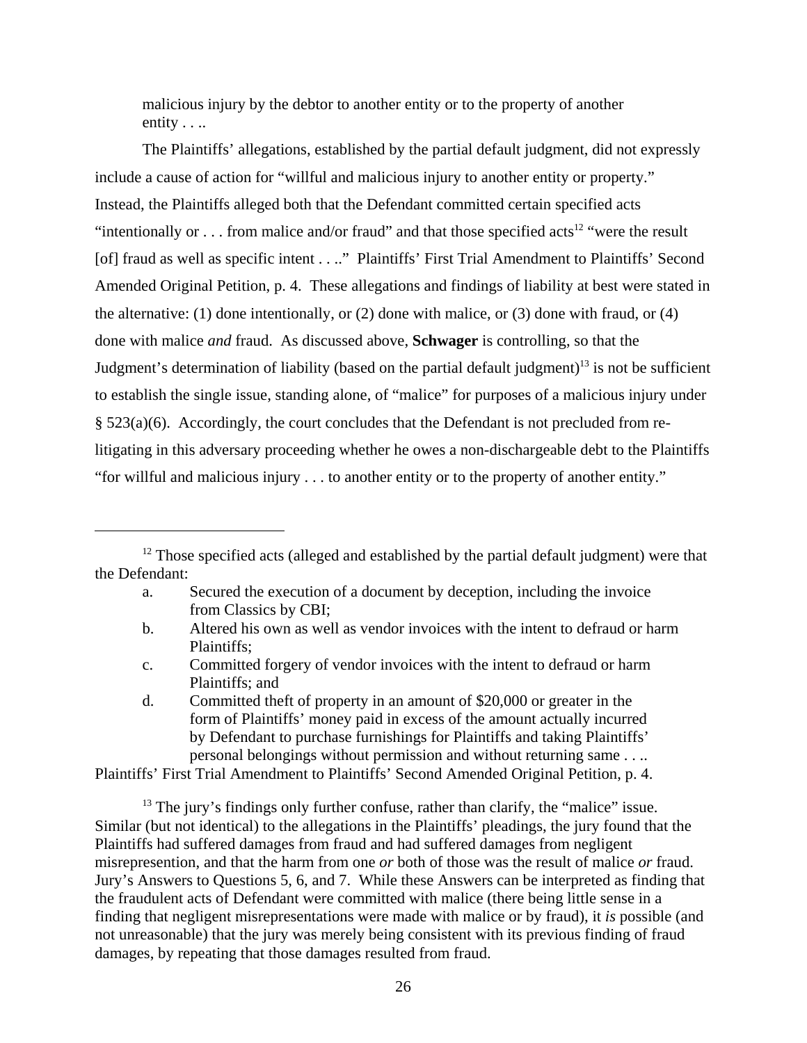malicious injury by the debtor to another entity or to the property of another entity . . ..

The Plaintiffs' allegations, established by the partial default judgment, did not expressly include a cause of action for "willful and malicious injury to another entity or property." Instead, the Plaintiffs alleged both that the Defendant committed certain specified acts "intentionally or  $\dots$  from malice and/or fraud" and that those specified acts<sup>12</sup> "were the result" [of] fraud as well as specific intent . . .." Plaintiffs' First Trial Amendment to Plaintiffs' Second Amended Original Petition, p. 4. These allegations and findings of liability at best were stated in the alternative: (1) done intentionally, or (2) done with malice, or (3) done with fraud, or (4) done with malice *and* fraud. As discussed above, **Schwager** is controlling, so that the Judgment's determination of liability (based on the partial default judgment)<sup>13</sup> is not be sufficient to establish the single issue, standing alone, of "malice" for purposes of a malicious injury under § 523(a)(6). Accordingly, the court concludes that the Defendant is not precluded from relitigating in this adversary proceeding whether he owes a non-dischargeable debt to the Plaintiffs "for willful and malicious injury . . . to another entity or to the property of another entity."

- a. Secured the execution of a document by deception, including the invoice from Classics by CBI;
- b. Altered his own as well as vendor invoices with the intent to defraud or harm Plaintiffs;
- c. Committed forgery of vendor invoices with the intent to defraud or harm Plaintiffs; and
- d. Committed theft of property in an amount of \$20,000 or greater in the form of Plaintiffs' money paid in excess of the amount actually incurred by Defendant to purchase furnishings for Plaintiffs and taking Plaintiffs' personal belongings without permission and without returning same . . ..

Plaintiffs' First Trial Amendment to Plaintiffs' Second Amended Original Petition, p. 4.

 $<sup>13</sup>$  The jury's findings only further confuse, rather than clarify, the "malice" issue.</sup> Similar (but not identical) to the allegations in the Plaintiffs' pleadings, the jury found that the Plaintiffs had suffered damages from fraud and had suffered damages from negligent misrepresention, and that the harm from one *or* both of those was the result of malice *or* fraud. Jury's Answers to Questions 5, 6, and 7. While these Answers can be interpreted as finding that the fraudulent acts of Defendant were committed with malice (there being little sense in a finding that negligent misrepresentations were made with malice or by fraud), it *is* possible (and not unreasonable) that the jury was merely being consistent with its previous finding of fraud damages, by repeating that those damages resulted from fraud.

<sup>&</sup>lt;sup>12</sup> Those specified acts (alleged and established by the partial default judgment) were that the Defendant: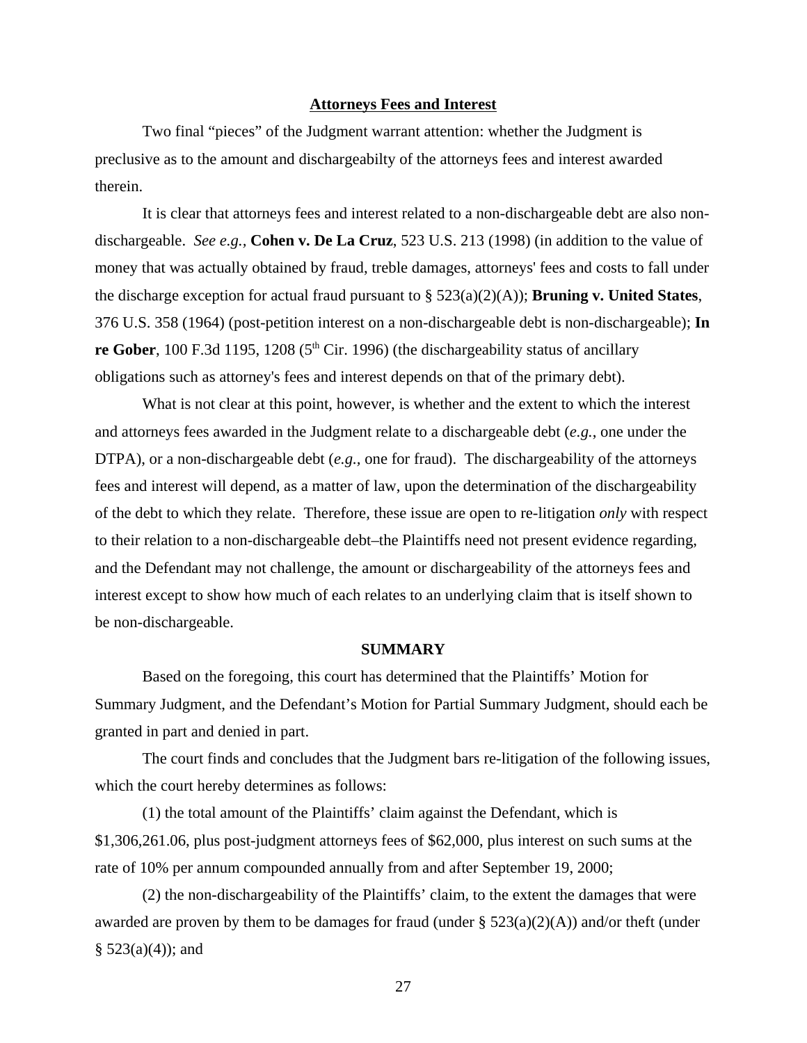#### **Attorneys Fees and Interest**

Two final "pieces" of the Judgment warrant attention: whether the Judgment is preclusive as to the amount and dischargeabilty of the attorneys fees and interest awarded therein.

It is clear that attorneys fees and interest related to a non-dischargeable debt are also nondischargeable. *See e.g.,* **Cohen v. De La Cruz**, 523 U.S. 213 (1998) (in addition to the value of money that was actually obtained by fraud, treble damages, attorneys' fees and costs to fall under the discharge exception for actual fraud pursuant to § 523(a)(2)(A)); **Bruning v. United States**, 376 U.S. 358 (1964) (post-petition interest on a non-dischargeable debt is non-dischargeable); **In re Gober**, 100 F.3d 1195, 1208 ( $5<sup>th</sup>$  Cir. 1996) (the dischargeability status of ancillary obligations such as attorney's fees and interest depends on that of the primary debt).

What is not clear at this point, however, is whether and the extent to which the interest and attorneys fees awarded in the Judgment relate to a dischargeable debt (*e.g.*, one under the DTPA), or a non-dischargeable debt (*e.g.,* one for fraud). The dischargeability of the attorneys fees and interest will depend, as a matter of law, upon the determination of the dischargeability of the debt to which they relate. Therefore, these issue are open to re-litigation *only* with respect to their relation to a non-dischargeable debt–the Plaintiffs need not present evidence regarding, and the Defendant may not challenge, the amount or dischargeability of the attorneys fees and interest except to show how much of each relates to an underlying claim that is itself shown to be non-dischargeable.

#### **SUMMARY**

Based on the foregoing, this court has determined that the Plaintiffs' Motion for Summary Judgment, and the Defendant's Motion for Partial Summary Judgment, should each be granted in part and denied in part.

The court finds and concludes that the Judgment bars re-litigation of the following issues, which the court hereby determines as follows:

(1) the total amount of the Plaintiffs' claim against the Defendant, which is \$1,306,261.06, plus post-judgment attorneys fees of \$62,000, plus interest on such sums at the rate of 10% per annum compounded annually from and after September 19, 2000;

(2) the non-dischargeability of the Plaintiffs' claim, to the extent the damages that were awarded are proven by them to be damages for fraud (under  $\S$  523(a)(2)(A)) and/or theft (under  $§$  523(a)(4)); and

27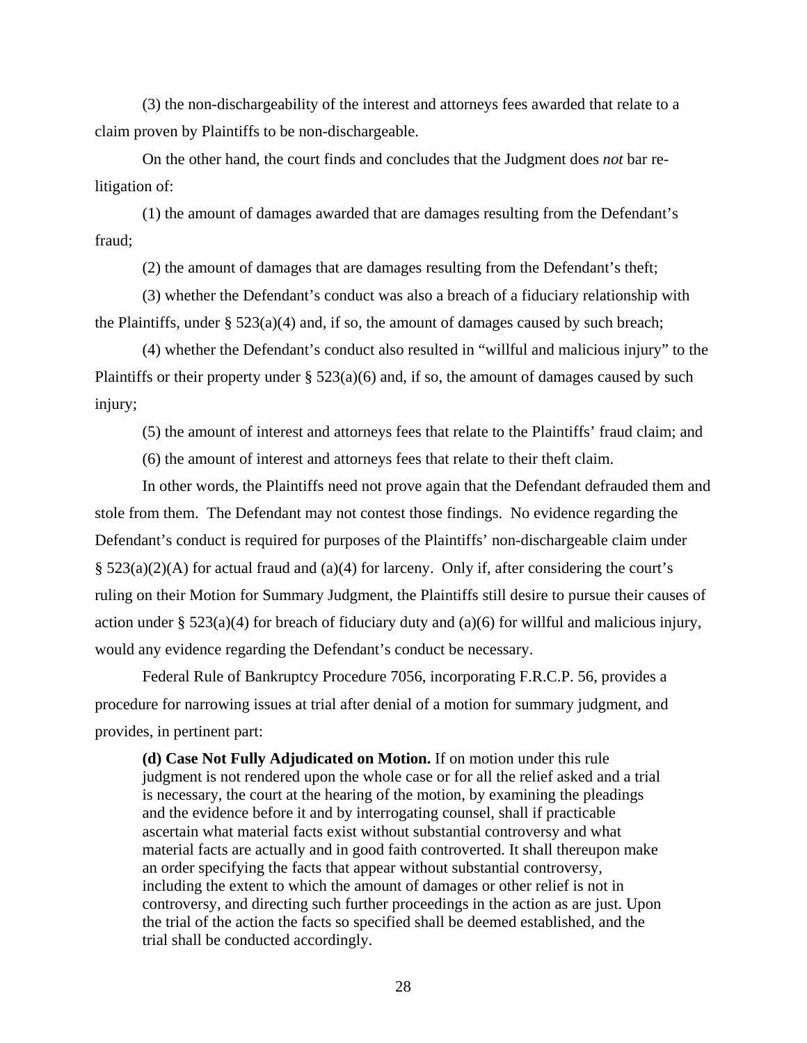(3) the non-dischargeability of the interest and attorneys fees awarded that relate to a claim proven by Plaintiffs to be non-dischargeable.

On the other hand, the court finds and concludes that the Judgment does *not* bar relitigation of:

(1) the amount of damages awarded that are damages resulting from the Defendant's fraud;

(2) the amount of damages that are damages resulting from the Defendant's theft;

(3) whether the Defendant's conduct was also a breach of a fiduciary relationship with the Plaintiffs, under  $\S 523(a)(4)$  and, if so, the amount of damages caused by such breach;

(4) whether the Defendant's conduct also resulted in "willful and malicious injury" to the Plaintiffs or their property under  $\S$  523(a)(6) and, if so, the amount of damages caused by such injury;

(5) the amount of interest and attorneys fees that relate to the Plaintiffs' fraud claim; and

(6) the amount of interest and attorneys fees that relate to their theft claim.

In other words, the Plaintiffs need not prove again that the Defendant defrauded them and stole from them. The Defendant may not contest those findings. No evidence regarding the Defendant's conduct is required for purposes of the Plaintiffs' non-dischargeable claim under § 523(a)(2)(A) for actual fraud and (a)(4) for larceny. Only if, after considering the court's ruling on their Motion for Summary Judgment, the Plaintiffs still desire to pursue their causes of action under §  $523(a)(4)$  for breach of fiduciary duty and (a)(6) for willful and malicious injury, would any evidence regarding the Defendant's conduct be necessary.

Federal Rule of Bankruptcy Procedure 7056, incorporating F.R.C.P. 56, provides a procedure for narrowing issues at trial after denial of a motion for summary judgment, and provides, in pertinent part:

**(d) Case Not Fully Adjudicated on Motion.** If on motion under this rule judgment is not rendered upon the whole case or for all the relief asked and a trial is necessary, the court at the hearing of the motion, by examining the pleadings and the evidence before it and by interrogating counsel, shall if practicable ascertain what material facts exist without substantial controversy and what material facts are actually and in good faith controverted. It shall thereupon make an order specifying the facts that appear without substantial controversy, including the extent to which the amount of damages or other relief is not in controversy, and directing such further proceedings in the action as are just. Upon the trial of the action the facts so specified shall be deemed established, and the trial shall be conducted accordingly.